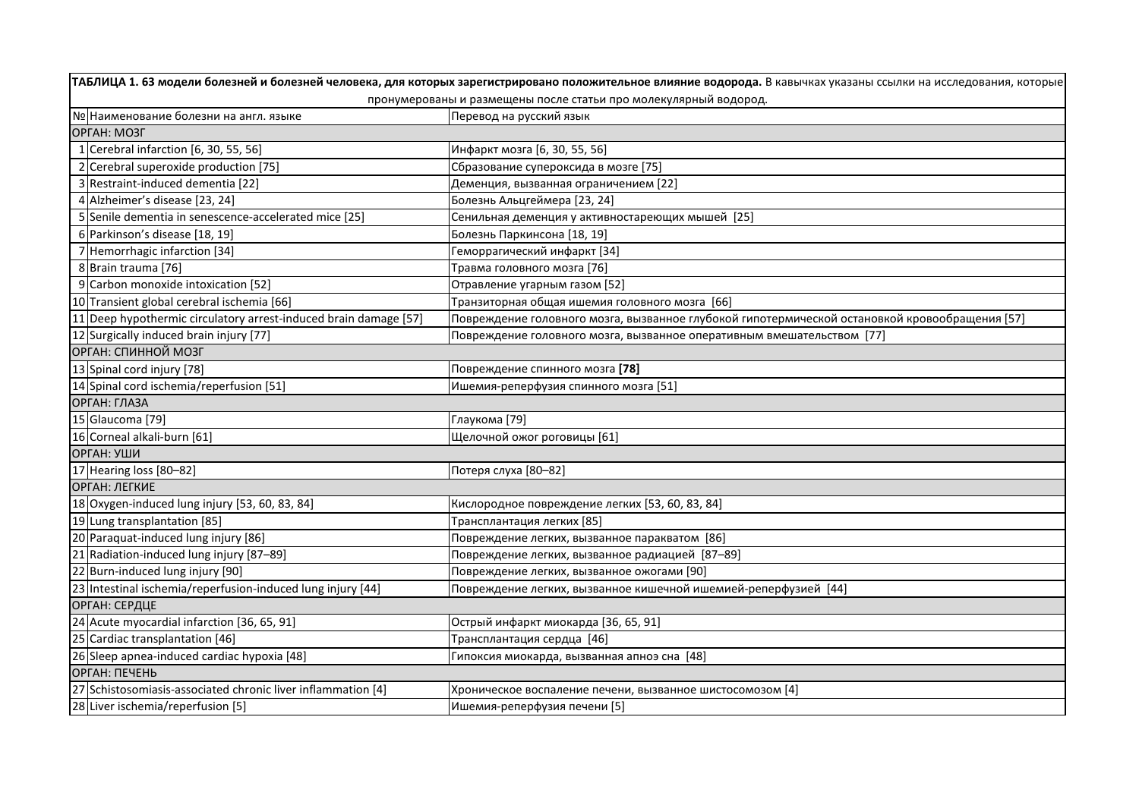|                                                                  | ТАБЛИЦА 1. 63 модели болезней и болезней человека, для которых зарегистрировано положительное влияние водорода. В кавычках указаны ссылки на исследования, которые |  |  |
|------------------------------------------------------------------|--------------------------------------------------------------------------------------------------------------------------------------------------------------------|--|--|
|                                                                  | пронумерованы и размещены после статьи про молекулярный водород.                                                                                                   |  |  |
| № Наименование болезни на англ. языке                            | Перевод на русский язык                                                                                                                                            |  |  |
| ОРГАН: МОЗГ                                                      |                                                                                                                                                                    |  |  |
| 1 Cerebral infarction $[6, 30, 55, 56]$                          | Инфаркт мозга [6, 30, 55, 56]                                                                                                                                      |  |  |
| 2 Cerebral superoxide production [75]                            | Сбразование супероксида в мозге [75]                                                                                                                               |  |  |
| 3 Restraint-induced dementia [22]                                | Деменция, вызванная ограничением [22]                                                                                                                              |  |  |
| 4 Alzheimer's disease [23, 24]                                   | Болезнь Альцгеймера [23, 24]                                                                                                                                       |  |  |
| 5 Senile dementia in senescence-accelerated mice [25]            | Сенильная деменция у активностареющих мышей [25]                                                                                                                   |  |  |
| 6 Parkinson's disease [18, 19]                                   | Болезнь Паркинсона [18, 19]                                                                                                                                        |  |  |
| 7 Hemorrhagic infarction [34]                                    | Геморрагический инфаркт [34]                                                                                                                                       |  |  |
| 8 Brain trauma [76]                                              | Травма головного мозга [76]                                                                                                                                        |  |  |
| 9 Carbon monoxide intoxication [52]                              | Отравление угарным газом [52]                                                                                                                                      |  |  |
| 10 Transient global cerebral ischemia [66]                       | Транзиторная общая ишемия головного мозга [66]                                                                                                                     |  |  |
| 11 Deep hypothermic circulatory arrest-induced brain damage [57] | Повреждение головного мозга, вызванное глубокой гипотермической остановкой кровообращения [57]                                                                     |  |  |
| 12 Surgically induced brain injury [77]                          | Повреждение головного мозга, вызванное оперативным вмешательством [77]                                                                                             |  |  |
| ОРГАН: СПИННОЙ МОЗГ                                              |                                                                                                                                                                    |  |  |
| 13 Spinal cord injury [78]                                       | Повреждение спинного мозга [78]                                                                                                                                    |  |  |
| 14 Spinal cord ischemia/reperfusion [51]                         | Ишемия-реперфузия спинного мозга [51]                                                                                                                              |  |  |
| ОРГАН: ГЛАЗА                                                     |                                                                                                                                                                    |  |  |
| 15 Glaucoma [79]                                                 | Глаукома [79]                                                                                                                                                      |  |  |
| 16 Corneal alkali-burn [61]                                      | Щелочной ожог роговицы [61]                                                                                                                                        |  |  |
| ОРГАН: УШИ                                                       |                                                                                                                                                                    |  |  |
| 17 Hearing loss [80-82]                                          | Потеря слуха [80-82]                                                                                                                                               |  |  |
| ОРГАН: ЛЕГКИЕ                                                    |                                                                                                                                                                    |  |  |
| 18 Oxygen-induced lung injury [53, 60, 83, 84]                   | Кислородное повреждение легких [53, 60, 83, 84]                                                                                                                    |  |  |
| 19 Lung transplantation [85]                                     | Трансплантация легких [85]                                                                                                                                         |  |  |
| 20 Paraquat-induced lung injury [86]                             | Повреждение легких, вызванное паракватом [86]                                                                                                                      |  |  |
| 21 Radiation-induced lung injury [87-89]                         | Повреждение легких, вызванное радиацией [87–89]                                                                                                                    |  |  |
| 22 Burn-induced lung injury [90]                                 | Повреждение легких, вызванное ожогами [90]                                                                                                                         |  |  |
| [23] Intestinal ischemia/reperfusion-induced lung injury [44]    | Повреждение легких, вызванное кишечной ишемией-реперфузией [44]                                                                                                    |  |  |
| ОРГАН: СЕРДЦЕ                                                    |                                                                                                                                                                    |  |  |
| 24 Acute myocardial infarction [36, 65, 91]                      | Острый инфаркт миокарда [36, 65, 91]                                                                                                                               |  |  |
| 25 Cardiac transplantation [46]                                  | Трансплантация сердца [46]                                                                                                                                         |  |  |
| 26 Sleep apnea-induced cardiac hypoxia [48]                      | Гипоксия миокарда, вызванная апноэ сна [48]                                                                                                                        |  |  |
| ОРГАН: ПЕЧЕНЬ                                                    |                                                                                                                                                                    |  |  |
| 27 Schistosomiasis-associated chronic liver inflammation [4]     | Хроническое воспаление печени, вызванное шистосомозом [4]                                                                                                          |  |  |
| 28 Liver ischemia/reperfusion [5]                                | Ишемия-реперфузия печени [5]                                                                                                                                       |  |  |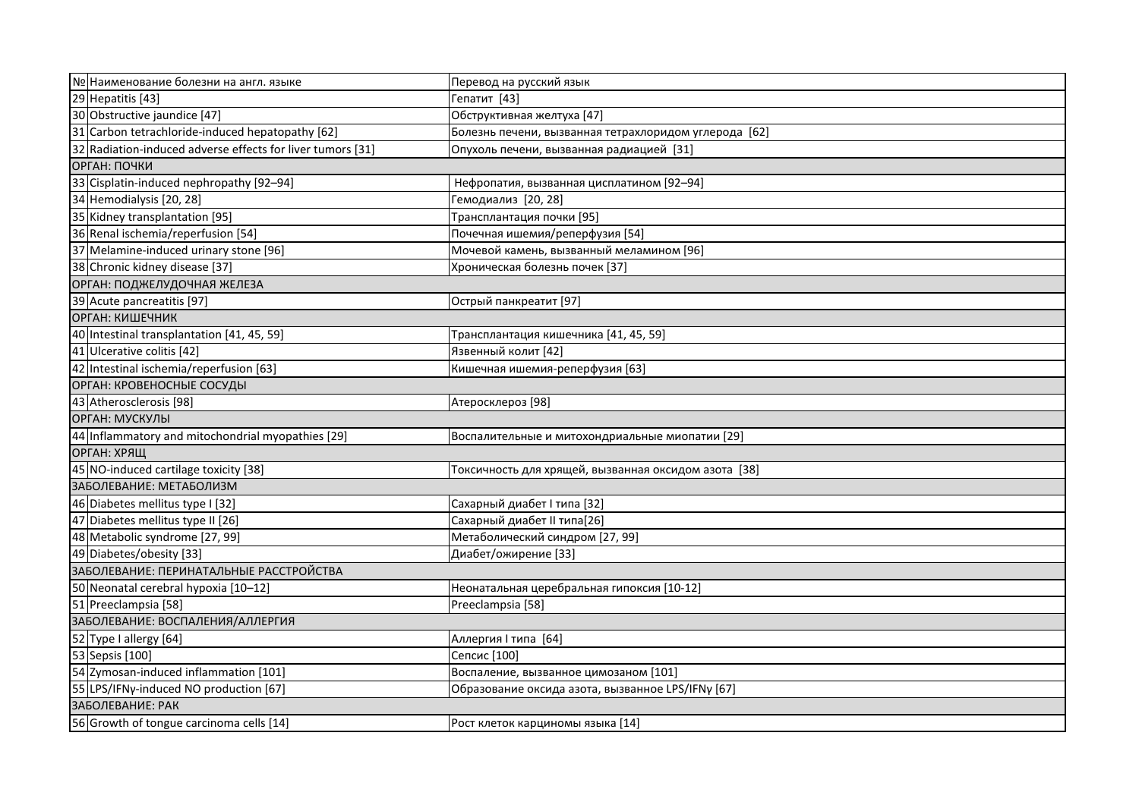| № Наименование болезни на англ. языке                      | Перевод на русский язык                               |  |
|------------------------------------------------------------|-------------------------------------------------------|--|
| 29 Hepatitis [43]                                          | Гепатит [43]                                          |  |
| 30 Obstructive jaundice [47]                               | Обструктивная желтуха [47]                            |  |
| 31 Carbon tetrachloride-induced hepatopathy [62]           | Болезнь печени, вызванная тетрахлоридом углерода [62] |  |
| 32 Radiation-induced adverse effects for liver tumors [31] | Опухоль печени, вызванная радиацией [31]              |  |
| ОРГАН: ПОЧКИ                                               |                                                       |  |
| 33 Cisplatin-induced nephropathy [92-94]                   | Нефропатия, вызванная цисплатином [92-94]             |  |
| 34 Hemodialysis [20, 28]                                   | Гемодиализ [20, 28]                                   |  |
| 35 Kidney transplantation [95]                             | Трансплантация почки [95]                             |  |
| 36 Renal ischemia/reperfusion [54]                         | Почечная ишемия/реперфузия [54]                       |  |
| 37 Melamine-induced urinary stone [96]                     | Мочевой камень, вызванный меламином [96]              |  |
| 38 Chronic kidney disease [37]                             | Хроническая болезнь почек [37]                        |  |
| ОРГАН: ПОДЖЕЛУДОЧНАЯ ЖЕЛЕЗА                                |                                                       |  |
| 39 Acute pancreatitis [97]                                 | Острый панкреатит [97]                                |  |
| ОРГАН: КИШЕЧНИК                                            |                                                       |  |
| 40 Intestinal transplantation [41, 45, 59]                 | Трансплантация кишечника [41, 45, 59]                 |  |
| 41 Ulcerative colitis [42]                                 | Язвенный колит [42]                                   |  |
| 42 Intestinal ischemia/reperfusion [63]                    | Кишечная ишемия-реперфузия [63]                       |  |
| ОРГАН: КРОВЕНОСНЫЕ СОСУДЫ                                  |                                                       |  |
| 43 Atherosclerosis [98]                                    | Атеросклероз [98]                                     |  |
| ОРГАН: МУСКУЛЫ                                             |                                                       |  |
| 44 Inflammatory and mitochondrial myopathies [29]          | Воспалительные и митохондриальные миопатии [29]       |  |
| ОРГАН: ХРЯЩ                                                |                                                       |  |
| 45 NO-induced cartilage toxicity [38]                      | Токсичность для хрящей, вызванная оксидом азота [38]  |  |
| ЗАБОЛЕВАНИЕ: МЕТАБОЛИЗМ                                    |                                                       |  |
| 46 Diabetes mellitus type I [32]                           | Сахарный диабет І типа [32]                           |  |
| 47 Diabetes mellitus type II [26]                          | Сахарный диабет II типа[26]                           |  |
| 48 Metabolic syndrome [27, 99]                             | Метаболический синдром [27, 99]                       |  |
| 49 Diabetes/obesity [33]                                   | Диабет/ожирение [33]                                  |  |
| ЗАБОЛЕВАНИЕ: ПЕРИНАТАЛЬНЫЕ РАССТРОЙСТВА                    |                                                       |  |
| 50 Neonatal cerebral hypoxia [10-12]                       | Неонатальная церебральная гипоксия [10-12]            |  |
| 51 Preeclampsia [58]                                       | Preeclampsia [58]                                     |  |
| ЗАБОЛЕВАНИЕ: ВОСПАЛЕНИЯ/АЛЛЕРГИЯ                           |                                                       |  |
| 52 Type I allergy [64]                                     | Аллергия I типа [64]                                  |  |
| 53 Sepsis [100]                                            | Сепсис [100]                                          |  |
| 54 Zymosan-induced inflammation [101]                      | Воспаление, вызванное цимозаном [101]                 |  |
| 55 LPS/IFNy-induced NO production [67]                     | Образование оксида азота, вызванное LPS/IFNy [67]     |  |
| ЗАБОЛЕВАНИЕ: РАК                                           |                                                       |  |
| 56 Growth of tongue carcinoma cells [14]                   | Рост клеток карциномы языка [14]                      |  |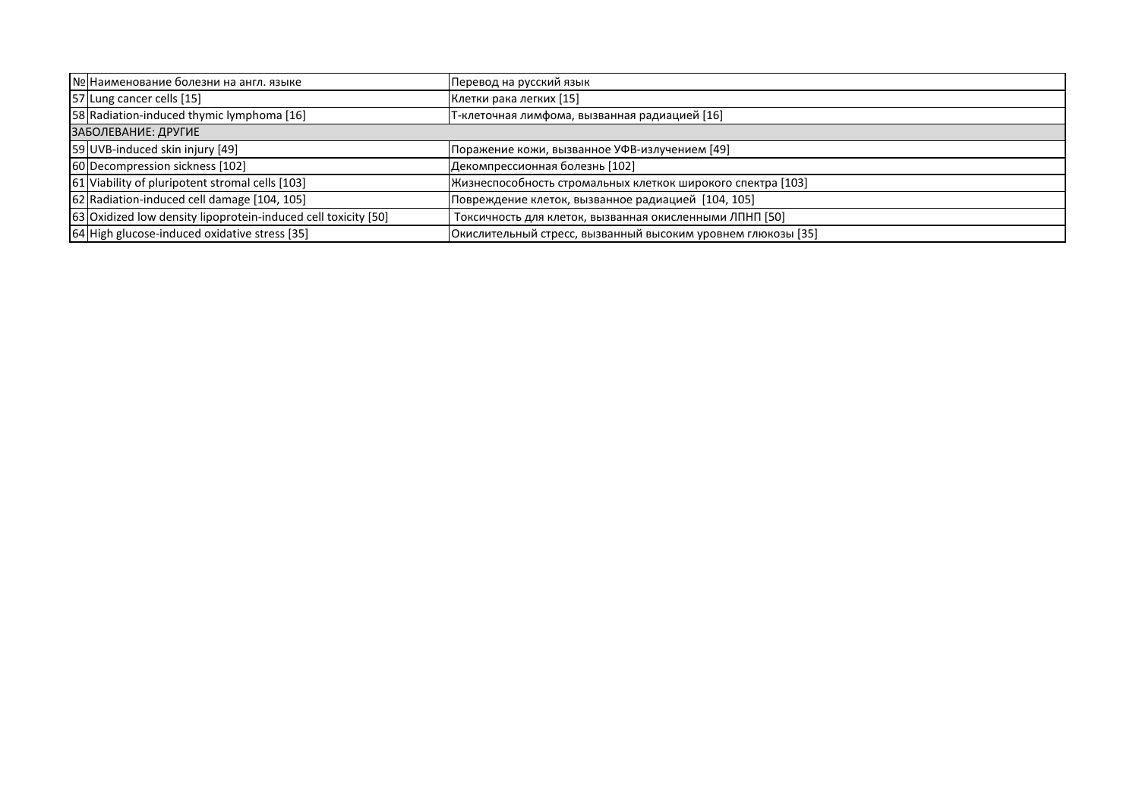| № Наименование болезни на англ. языке                          | Перевод на русский язык                                      |  |
|----------------------------------------------------------------|--------------------------------------------------------------|--|
| 57 Lung cancer cells [15]                                      | Клетки рака легких [15]                                      |  |
| 58 Radiation-induced thymic lymphoma [16]                      | Т-клеточная лимфома, вызванная радиацией [16]                |  |
| ЗАБОЛЕВАНИЕ: ДРУГИЕ                                            |                                                              |  |
| 59 UVB-induced skin injury [49]                                | Поражение кожи, вызванное УФВ-излучением [49]                |  |
| 60 Decompression sickness [102]                                | Декомпрессионная болезнь [102]                               |  |
| 61 Viability of pluripotent stromal cells [103]                | Жизнеспособность стромальных клеткок широкого спектра [103]  |  |
| 62 Radiation-induced cell damage [104, 105]                    | Повреждение клеток, вызванное радиацией [104, 105]           |  |
| 63 Oxidized low density lipoprotein-induced cell toxicity [50] | Токсичность для клеток, вызванная окисленными ЛПНП [50]      |  |
| 64 High glucose-induced oxidative stress [35]                  | Окислительный стресс, вызванный высоким уровнем глюкозы [35] |  |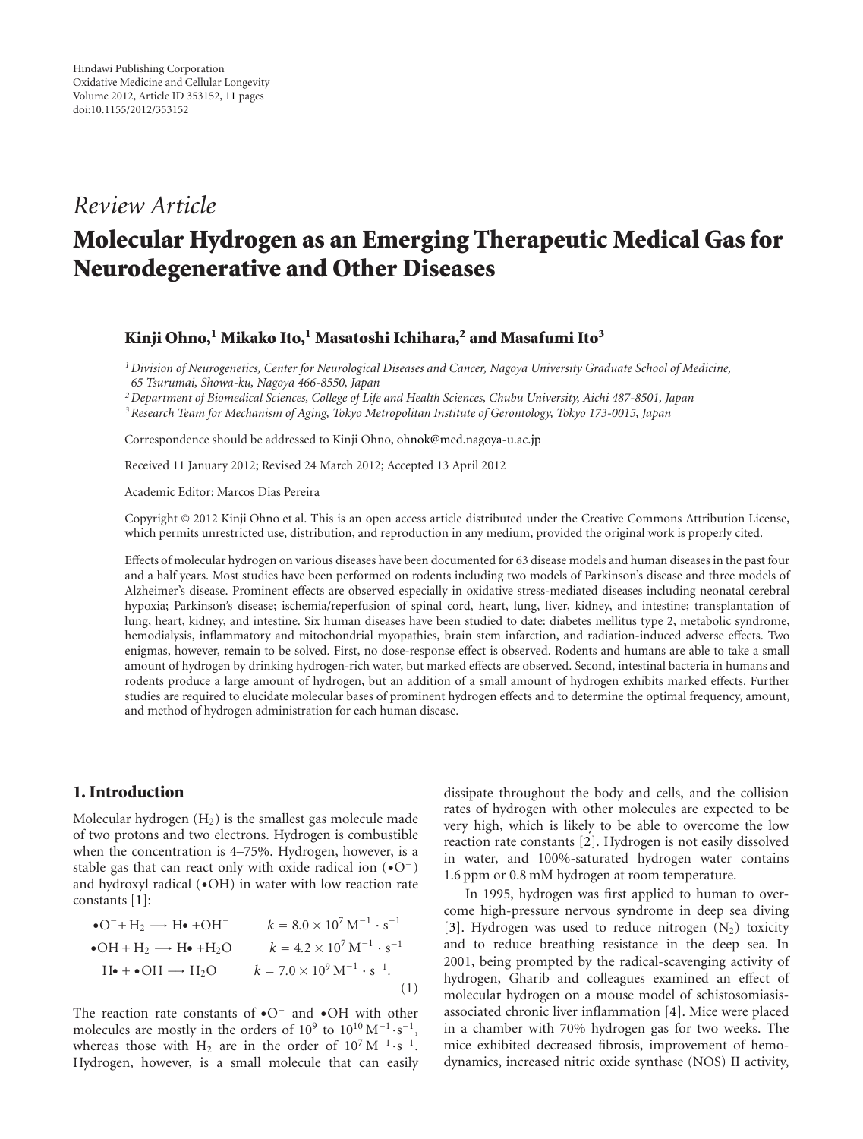## *Review Article*

# **Molecular Hydrogen as an Emerging Therapeutic Medical Gas for Neurodegenerative and Other Diseases**

#### **Kinji Ohno,1 Mikako Ito,1 Masatoshi Ichihara,2 and Masafumi Ito3**

*1Division of Neurogenetics, Center for Neurological Diseases and Cancer, Nagoya University Graduate School of Medicine, 65 Tsurumai, Showa-ku, Nagoya 466-8550, Japan*

*2Department of Biomedical Sciences, College of Life and Health Sciences, Chubu University, Aichi 487-8501, Japan*

*3Research Team for Mechanism of Aging, Tokyo Metropolitan Institute of Gerontology, Tokyo 173-0015, Japan*

Correspondence should be addressed to Kinji Ohno, [ohnok@med.nagoya-u.ac.jp](mailto:ohnok@med.nagoya-u.ac.jp)

Received 11 January 2012; Revised 24 March 2012; Accepted 13 April 2012

Academic Editor: Marcos Dias Pereira

Copyright © 2012 Kinji Ohno et al. This is an open access article distributed under the Creative Commons Attribution License, which permits unrestricted use, distribution, and reproduction in any medium, provided the original work is properly cited.

Effects of molecular hydrogen on various diseases have been documented for 63 disease models and human diseases in the past four and a half years. Most studies have been performed on rodents including two models of Parkinson's disease and three models of Alzheimer's disease. Prominent effects are observed especially in oxidative stress-mediated diseases including neonatal cerebral hypoxia; Parkinson's disease; ischemia/reperfusion of spinal cord, heart, lung, liver, kidney, and intestine; transplantation of lung, heart, kidney, and intestine. Six human diseases have been studied to date: diabetes mellitus type 2, metabolic syndrome, hemodialysis, inflammatory and mitochondrial myopathies, brain stem infarction, and radiation-induced adverse effects. Two enigmas, however, remain to be solved. First, no dose-response effect is observed. Rodents and humans are able to take a small amount of hydrogen by drinking hydrogen-rich water, but marked effects are observed. Second, intestinal bacteria in humans and rodents produce a large amount of hydrogen, but an addition of a small amount of hydrogen exhibits marked effects. Further studies are required to elucidate molecular bases of prominent hydrogen effects and to determine the optimal frequency, amount, and method of hydrogen administration for each human disease.

## **1. Introduction**

Molecular hydrogen  $(H_2)$  is the smallest gas molecule made of two protons and two electrons. Hydrogen is combustible when the concentration is 4–75%. Hydrogen, however, is a stable gas that can react only with oxide radical ion (•O−) and hydroxyl radical (•OH) in water with low reaction rate constants [\[1](#page-10-1)]:

• O<sup>-</sup> + H<sub>2</sub> 
$$
\longrightarrow
$$
 H<sup>•</sup> +OH<sup>-</sup>  $k = 8.0 \times 10^7 \text{ M}^{-1} \cdot \text{s}^{-1}$   
\n• OH + H<sub>2</sub>  $\longrightarrow$  H<sup>•</sup> +H<sub>2</sub>O  $k = 4.2 \times 10^7 \text{ M}^{-1} \cdot \text{s}^{-1}$   
\nH<sup>•</sup> + OH  $\longrightarrow$  H<sub>2</sub>O  $k = 7.0 \times 10^9 \text{ M}^{-1} \cdot \text{s}^{-1}$ . (1)

The reaction rate constants of •O<sup>−</sup> and •OH with other molecules are mostly in the orders of  $10^9$  to  $10^{10} M^{-1} \cdot s^{-1}$ , whereas those with H<sub>2</sub> are in the order of  $10^7 M^{-1} \cdot s^{-1}$ . Hydrogen, however, is a small molecule that can easily

dissipate throughout the body and cells, and the collision rates of hydrogen with other molecules are expected to be very high, which is likely to be able to overcome the low reaction rate constants [\[2](#page-10-2)]. Hydrogen is not easily dissolved in water, and 100%-saturated hydrogen water contains 1.6 ppm or 0.8 mM hydrogen at room temperature.

In 1995, hydrogen was first applied to human to overcome high-pressure nervous syndrome in deep sea diving [\[3](#page-10-3)]. Hydrogen was used to reduce nitrogen  $(N_2)$  toxicity and to reduce breathing resistance in the deep sea. In 2001, being prompted by the radical-scavenging activity of hydrogen, Gharib and colleagues examined an effect of molecular hydrogen on a mouse model of schistosomiasisassociated chronic liver inflammation [\[4\]](#page-10-4). Mice were placed in a chamber with 70% hydrogen gas for two weeks. The mice exhibited decreased fibrosis, improvement of hemodynamics, increased nitric oxide synthase (NOS) II activity,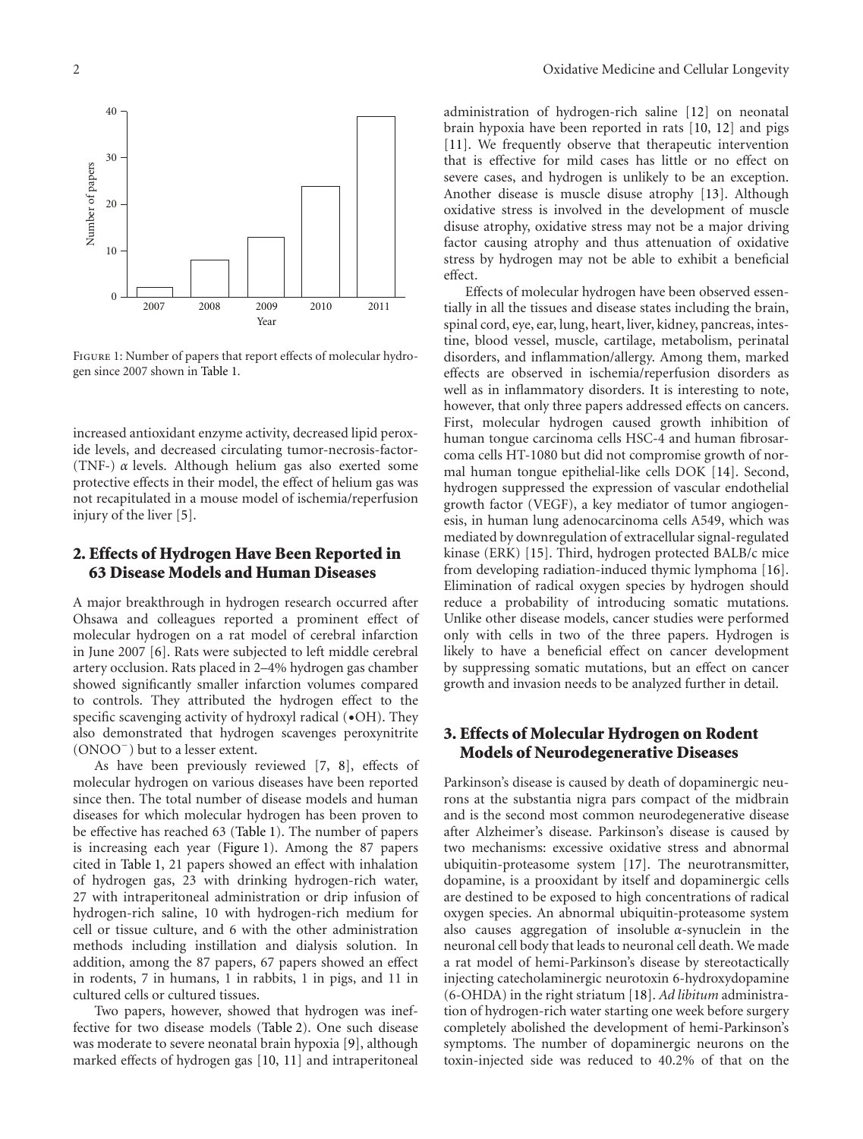

<span id="page-4-0"></span>Figure 1: Number of papers that report effects of molecular hydrogen since 2007 shown in [Table 1.](#page-5-0)

increased antioxidant enzyme activity, decreased lipid peroxide levels, and decreased circulating tumor-necrosis-factor- (TNF-) *α* levels. Although helium gas also exerted some protective effects in their model, the effect of helium gas was not recapitulated in a mouse model of ischemia/reperfusion injury of the liver [\[5\]](#page-10-5).

## <span id="page-4-1"></span>**2. Effects of Hydrogen Have Been Reported in 63 Disease Models and Human Diseases**

A major breakthrough in hydrogen research occurred after Ohsawa and colleagues reported a prominent effect of molecular hydrogen on a rat model of cerebral infarction in June 2007 [\[6](#page-10-6)]. Rats were subjected to left middle cerebral artery occlusion. Rats placed in 2–4% hydrogen gas chamber showed significantly smaller infarction volumes compared to controls. They attributed the hydrogen effect to the specific scavenging activity of hydroxyl radical ( $\bullet$ OH). They also demonstrated that hydrogen scavenges peroxynitrite (ONOO−) but to a lesser extent.

As have been previously reviewed [\[7](#page-10-7), [8](#page-10-8)], effects of molecular hydrogen on various diseases have been reported since then. The total number of disease models and human diseases for which molecular hydrogen has been proven to be effective has reached 63 [\(Table 1\)](#page-5-0). The number of papers is increasing each year [\(Figure 1\)](#page-4-0). Among the 87 papers cited in [Table 1,](#page-5-0) 21 papers showed an effect with inhalation of hydrogen gas, 23 with drinking hydrogen-rich water, 27 with intraperitoneal administration or drip infusion of hydrogen-rich saline, 10 with hydrogen-rich medium for cell or tissue culture, and 6 with the other administration methods including instillation and dialysis solution. In addition, among the 87 papers, 67 papers showed an effect in rodents, 7 in humans, 1 in rabbits, 1 in pigs, and 11 in cultured cells or cultured tissues.

Two papers, however, showed that hydrogen was ineffective for two disease models [\(Table 2\)](#page-7-0). One such disease was moderate to severe neonatal brain hypoxia [\[9\]](#page-10-9), although marked effects of hydrogen gas [\[10,](#page-10-10) [11\]](#page-10-11) and intraperitoneal

administration of hydrogen-rich saline [\[12\]](#page-10-12) on neonatal brain hypoxia have been reported in rats [\[10](#page-10-10), [12](#page-10-12)] and pigs [\[11\]](#page-10-11). We frequently observe that therapeutic intervention that is effective for mild cases has little or no effect on severe cases, and hydrogen is unlikely to be an exception. Another disease is muscle disuse atrophy [\[13](#page-10-13)]. Although oxidative stress is involved in the development of muscle disuse atrophy, oxidative stress may not be a major driving factor causing atrophy and thus attenuation of oxidative stress by hydrogen may not be able to exhibit a beneficial effect.

Effects of molecular hydrogen have been observed essentially in all the tissues and disease states including the brain, spinal cord, eye, ear, lung, heart, liver, kidney, pancreas, intestine, blood vessel, muscle, cartilage, metabolism, perinatal disorders, and inflammation/allergy. Among them, marked effects are observed in ischemia/reperfusion disorders as well as in inflammatory disorders. It is interesting to note, however, that only three papers addressed effects on cancers. First, molecular hydrogen caused growth inhibition of human tongue carcinoma cells HSC-4 and human fibrosarcoma cells HT-1080 but did not compromise growth of normal human tongue epithelial-like cells DOK [\[14\]](#page-10-14). Second, hydrogen suppressed the expression of vascular endothelial growth factor (VEGF), a key mediator of tumor angiogenesis, in human lung adenocarcinoma cells A549, which was mediated by downregulation of extracellular signal-regulated kinase (ERK) [\[15](#page-10-15)]. Third, hydrogen protected BALB/c mice from developing radiation-induced thymic lymphoma [\[16\]](#page-10-16). Elimination of radical oxygen species by hydrogen should reduce a probability of introducing somatic mutations. Unlike other disease models, cancer studies were performed only with cells in two of the three papers. Hydrogen is likely to have a beneficial effect on cancer development by suppressing somatic mutations, but an effect on cancer growth and invasion needs to be analyzed further in detail.

## **3. Effects of Molecular Hydrogen on Rodent Models of Neurodegenerative Diseases**

Parkinson's disease is caused by death of dopaminergic neurons at the substantia nigra pars compact of the midbrain and is the second most common neurodegenerative disease after Alzheimer's disease. Parkinson's disease is caused by two mechanisms: excessive oxidative stress and abnormal ubiquitin-proteasome system [\[17\]](#page-10-17). The neurotransmitter, dopamine, is a prooxidant by itself and dopaminergic cells are destined to be exposed to high concentrations of radical oxygen species. An abnormal ubiquitin-proteasome system also causes aggregation of insoluble *α*-synuclein in the neuronal cell body that leads to neuronal cell death. We made a rat model of hemi-Parkinson's disease by stereotactically injecting catecholaminergic neurotoxin 6-hydroxydopamine (6-OHDA) in the right striatum [\[18](#page-10-18)]. *Ad libitum* administration of hydrogen-rich water starting one week before surgery completely abolished the development of hemi-Parkinson's symptoms. The number of dopaminergic neurons on the toxin-injected side was reduced to 40.2% of that on the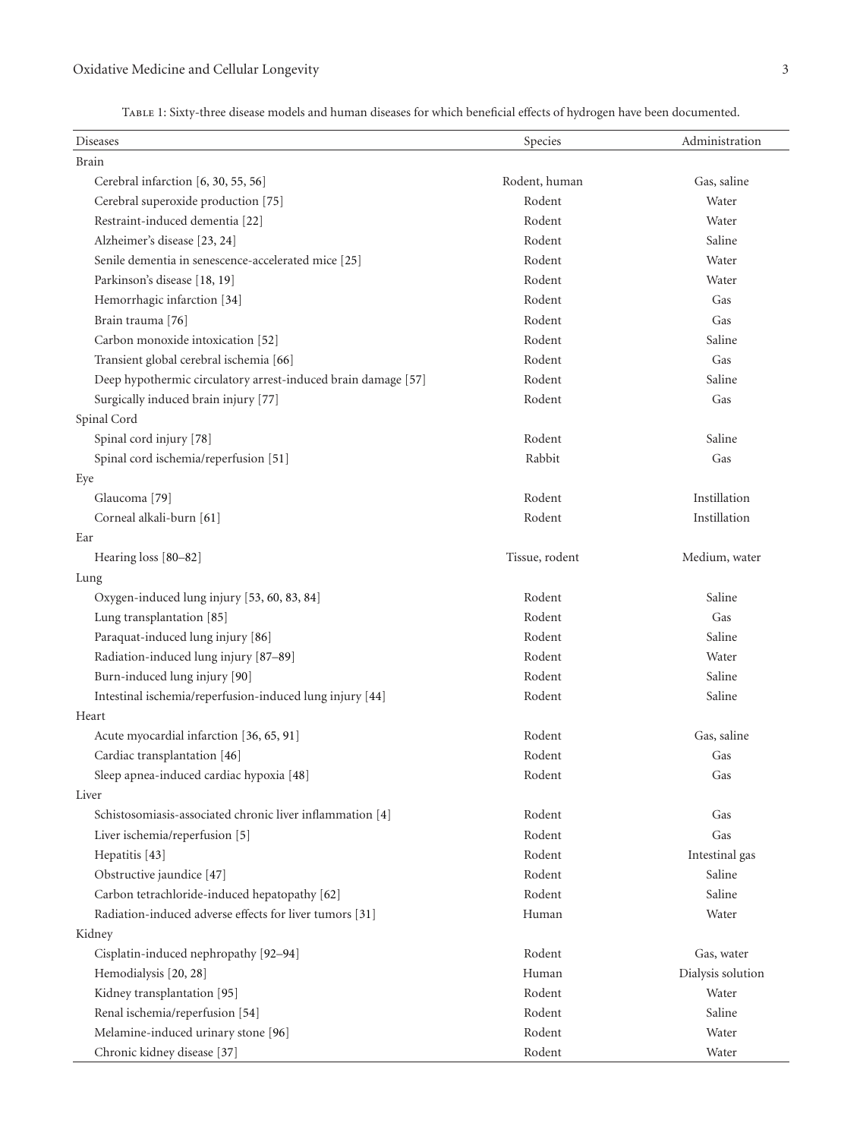<span id="page-5-0"></span>Table 1: Sixty-three disease models and human diseases for which beneficial effects of hydrogen have been documented.

| Diseases                                                      | Species        | Administration    |
|---------------------------------------------------------------|----------------|-------------------|
| Brain                                                         |                |                   |
| Cerebral infarction [6, 30, 55, 56]                           | Rodent, human  | Gas, saline       |
| Cerebral superoxide production [75]                           | Rodent         | Water             |
| Restraint-induced dementia [22]                               | Rodent         | Water             |
| Alzheimer's disease [23, 24]                                  | Rodent         | Saline            |
| Senile dementia in senescence-accelerated mice [25]           | Rodent         | Water             |
| Parkinson's disease [18, 19]                                  | Rodent         | Water             |
| Hemorrhagic infarction [34]                                   | Rodent         | Gas               |
| Brain trauma [76]                                             | Rodent         | Gas               |
| Carbon monoxide intoxication [52]                             | Rodent         | Saline            |
| Transient global cerebral ischemia [66]                       | Rodent         | Gas               |
| Deep hypothermic circulatory arrest-induced brain damage [57] | Rodent         | Saline            |
| Surgically induced brain injury [77]                          | Rodent         | Gas               |
| Spinal Cord                                                   |                |                   |
| Spinal cord injury [78]                                       | Rodent         | Saline            |
| Spinal cord ischemia/reperfusion [51]                         | Rabbit         | Gas               |
| Eye                                                           |                |                   |
| Glaucoma <sup>[79]</sup>                                      | Rodent         | Instillation      |
| Corneal alkali-burn [61]                                      | Rodent         | Instillation      |
| Ear                                                           |                |                   |
| Hearing loss [80-82]                                          | Tissue, rodent | Medium, water     |
| Lung                                                          |                |                   |
| Oxygen-induced lung injury [53, 60, 83, 84]                   | Rodent         | Saline            |
| Lung transplantation [85]                                     | Rodent         | Gas               |
| Paraquat-induced lung injury [86]                             | Rodent         | Saline            |
| Radiation-induced lung injury [87-89]                         | Rodent         | Water             |
| Burn-induced lung injury [90]                                 | Rodent         | Saline            |
| Intestinal ischemia/reperfusion-induced lung injury [44]      | Rodent         | Saline            |
| Heart                                                         |                |                   |
| Acute myocardial infarction [36, 65, 91]                      | Rodent         | Gas, saline       |
| Cardiac transplantation [46]                                  | Rodent         | Gas               |
| Sleep apnea-induced cardiac hypoxia [48]                      | Rodent         | Gas               |
| Liver                                                         |                |                   |
| Schistosomiasis-associated chronic liver inflammation [4]     | Rodent         | Gas               |
| Liver ischemia/reperfusion [5]                                | Rodent         | Gas               |
| Hepatitis [43]                                                | Rodent         | Intestinal gas    |
| Obstructive jaundice [47]                                     | Rodent         | Saline            |
| Carbon tetrachloride-induced hepatopathy [62]                 | Rodent         | Saline            |
| Radiation-induced adverse effects for liver tumors [31]       | Human          | Water             |
| Kidney                                                        |                |                   |
| Cisplatin-induced nephropathy [92-94]                         | Rodent         | Gas, water        |
| Hemodialysis [20, 28]                                         | Human          | Dialysis solution |
| Kidney transplantation [95]                                   | Rodent         | Water             |
| Renal ischemia/reperfusion [54]                               | Rodent         | Saline            |
| Melamine-induced urinary stone [96]                           | Rodent         | Water             |
| Chronic kidney disease [37]                                   | Rodent         | Water             |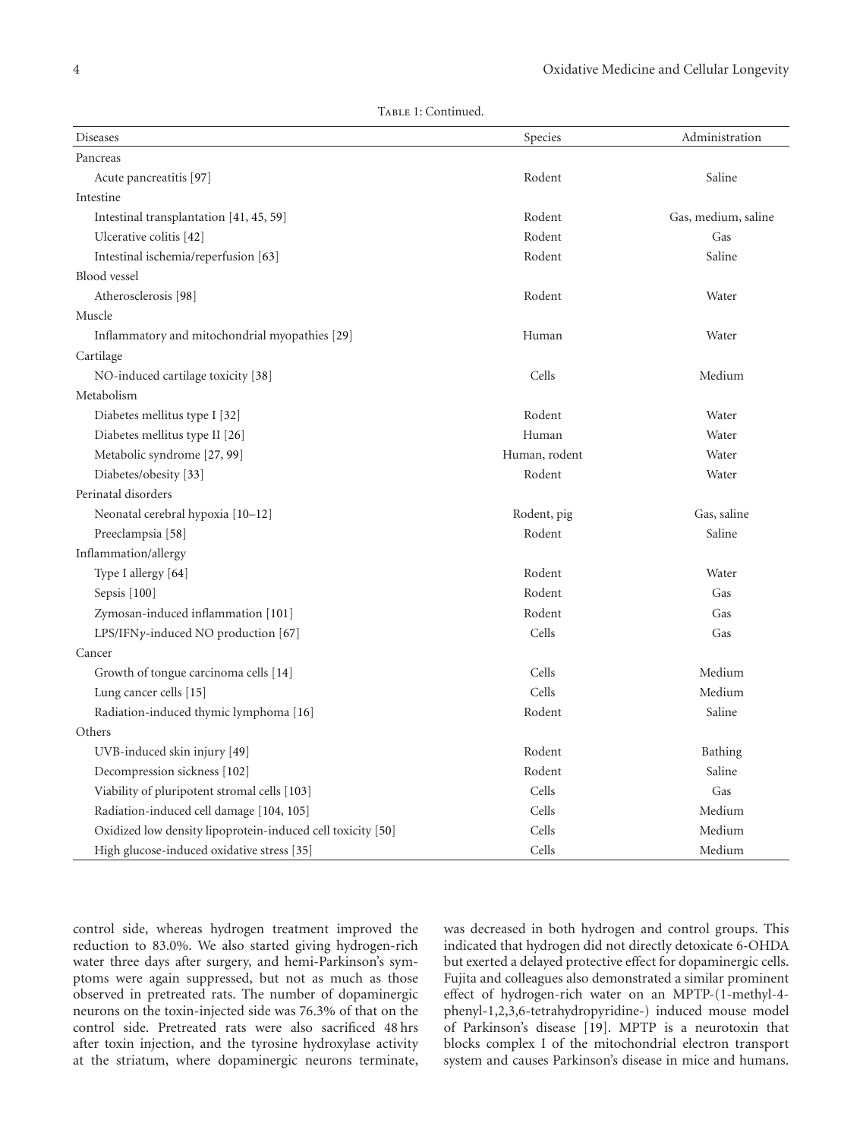|  | Тавье 1: Continued. |
|--|---------------------|
|--|---------------------|

| Diseases                                                    | Species       | Administration      |
|-------------------------------------------------------------|---------------|---------------------|
| Pancreas                                                    |               |                     |
| Acute pancreatitis [97]                                     | Rodent        | Saline              |
| Intestine                                                   |               |                     |
| Intestinal transplantation [41, 45, 59]                     | Rodent        | Gas, medium, saline |
| Ulcerative colitis [42]                                     | Rodent        | Gas                 |
| Intestinal ischemia/reperfusion [63]                        | Rodent        | Saline              |
| Blood vessel                                                |               |                     |
| Atherosclerosis <sup>[98]</sup>                             | Rodent        | Water               |
| Muscle                                                      |               |                     |
| Inflammatory and mitochondrial myopathies [29]              | Human         | Water               |
| Cartilage                                                   |               |                     |
| NO-induced cartilage toxicity [38]                          | Cells         | Medium              |
| Metabolism                                                  |               |                     |
| Diabetes mellitus type I [32]                               | Rodent        | Water               |
| Diabetes mellitus type II [26]                              | Human         | Water               |
| Metabolic syndrome [27, 99]                                 | Human, rodent | Water               |
| Diabetes/obesity [33]                                       | Rodent        | Water               |
| Perinatal disorders                                         |               |                     |
| Neonatal cerebral hypoxia [10-12]                           | Rodent, pig   | Gas, saline         |
| Preeclampsia [58]                                           | Rodent        | Saline              |
| Inflammation/allergy                                        |               |                     |
| Type I allergy [64]                                         | Rodent        | Water               |
| Sepsis [100]                                                | Rodent        | Gas                 |
| Zymosan-induced inflammation [101]                          | Rodent        | Gas                 |
| LPS/IFN $\gamma$ -induced NO production [67]                | Cells         | Gas                 |
| Cancer                                                      |               |                     |
| Growth of tongue carcinoma cells [14]                       | Cells         | Medium              |
| Lung cancer cells [15]                                      | Cells         | Medium              |
| Radiation-induced thymic lymphoma [16]                      | Rodent        | Saline              |
| Others                                                      |               |                     |
| UVB-induced skin injury [49]                                | Rodent        | Bathing             |
| Decompression sickness [102]                                | Rodent        | Saline              |
| Viability of pluripotent stromal cells [103]                | Cells         | Gas                 |
| Radiation-induced cell damage [104, 105]                    | Cells         | Medium              |
| Oxidized low density lipoprotein-induced cell toxicity [50] | Cells         | Medium              |
| High glucose-induced oxidative stress [35]                  | Cells         | Medium              |

control side, whereas hydrogen treatment improved the reduction to 83.0%. We also started giving hydrogen-rich water three days after surgery, and hemi-Parkinson's symptoms were again suppressed, but not as much as those observed in pretreated rats. The number of dopaminergic neurons on the toxin-injected side was 76.3% of that on the control side. Pretreated rats were also sacrificed 48 hrs after toxin injection, and the tyrosine hydroxylase activity at the striatum, where dopaminergic neurons terminate,

was decreased in both hydrogen and control groups. This indicated that hydrogen did not directly detoxicate 6-OHDA but exerted a delayed protective effect for dopaminergic cells. Fujita and colleagues also demonstrated a similar prominent effect of hydrogen-rich water on an MPTP-(1-methyl-4 phenyl-1,2,3,6-tetrahydropyridine-) induced mouse model of Parkinson's disease [\[19](#page-10-23)]. MPTP is a neurotoxin that blocks complex I of the mitochondrial electron transport system and causes Parkinson's disease in mice and humans.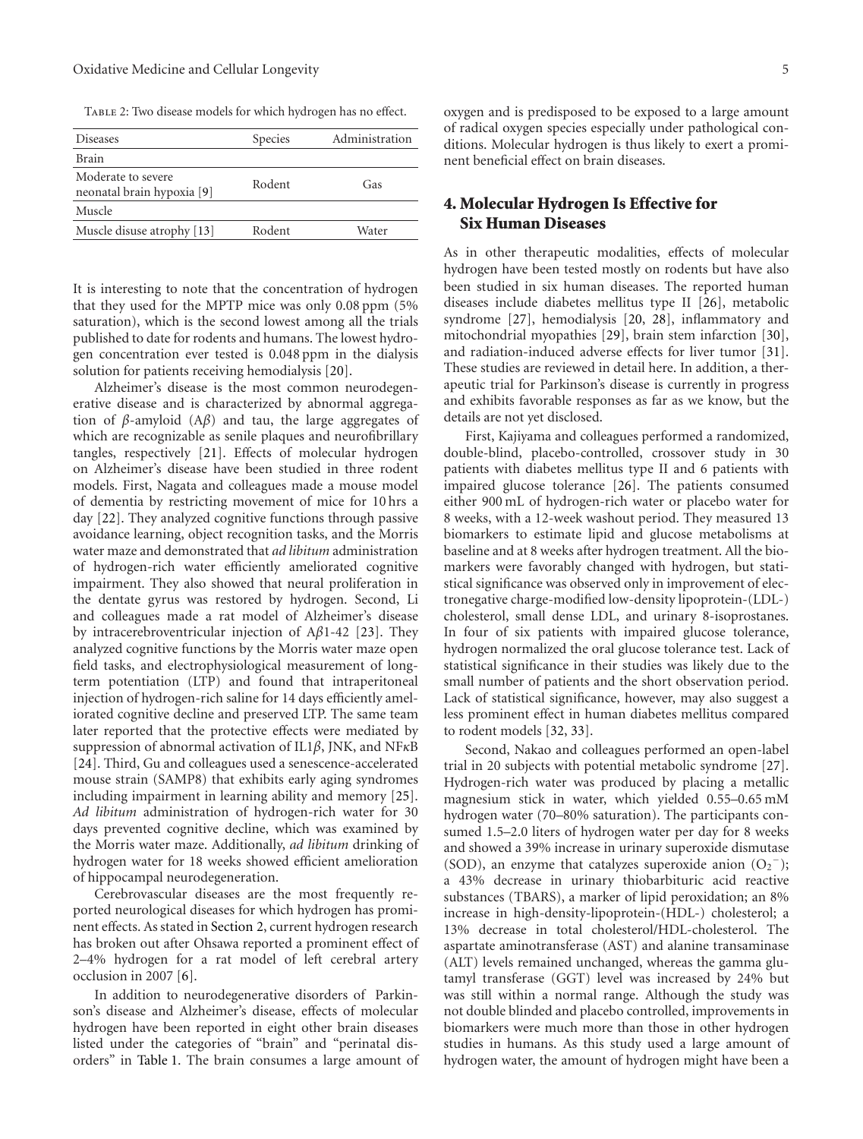#### Oxidative Medicine and Cellular Longevity 5

<span id="page-7-0"></span>TABLE 2: Two disease models for which hydrogen has no effect.

| <b>Diseases</b>                                  | Species | Administration |
|--------------------------------------------------|---------|----------------|
| <b>Brain</b>                                     |         |                |
| Moderate to severe<br>neonatal brain hypoxia [9] | Rodent  | Gas            |
| Muscle                                           |         |                |
| Muscle disuse atrophy [13]                       | Rodent  | Water          |
|                                                  |         |                |

It is interesting to note that the concentration of hydrogen that they used for the MPTP mice was only 0.08 ppm (5% saturation), which is the second lowest among all the trials published to date for rodents and humans. The lowest hydrogen concentration ever tested is 0.048 ppm in the dialysis solution for patients receiving hemodialysis [\[20](#page-10-24)].

Alzheimer's disease is the most common neurodegenerative disease and is characterized by abnormal aggregation of *β*-amyloid (A*β*) and tau, the large aggregates of which are recognizable as senile plaques and neurofibrillary tangles, respectively [\[21](#page-10-28)]. Effects of molecular hydrogen on Alzheimer's disease have been studied in three rodent models. First, Nagata and colleagues made a mouse model of dementia by restricting movement of mice for 10 hrs a day [\[22](#page-10-19)]. They analyzed cognitive functions through passive avoidance learning, object recognition tasks, and the Morris water maze and demonstrated that *ad libitum* administration of hydrogen-rich water efficiently ameliorated cognitive impairment. They also showed that neural proliferation in the dentate gyrus was restored by hydrogen. Second, Li and colleagues made a rat model of Alzheimer's disease by intracerebroventricular injection of A*β*1-42 [\[23](#page-10-20)]. They analyzed cognitive functions by the Morris water maze open field tasks, and electrophysiological measurement of longterm potentiation (LTP) and found that intraperitoneal injection of hydrogen-rich saline for 14 days efficiently ameliorated cognitive decline and preserved LTP. The same team later reported that the protective effects were mediated by suppression of abnormal activation of IL1*β*, JNK, and NF*κ*B [\[24\]](#page-10-21). Third, Gu and colleagues used a senescence-accelerated mouse strain (SAMP8) that exhibits early aging syndromes including impairment in learning ability and memory [\[25\]](#page-10-22). *Ad libitum* administration of hydrogen-rich water for 30 days prevented cognitive decline, which was examined by the Morris water maze. Additionally, *ad libitum* drinking of hydrogen water for 18 weeks showed efficient amelioration of hippocampal neurodegeneration.

Cerebrovascular diseases are the most frequently reported neurological diseases for which hydrogen has prominent effects. As stated in [Section 2,](#page-4-1) current hydrogen research has broken out after Ohsawa reported a prominent effect of 2–4% hydrogen for a rat model of left cerebral artery occlusion in 2007 [\[6](#page-10-6)].

In addition to neurodegenerative disorders of Parkinson's disease and Alzheimer's disease, effects of molecular hydrogen have been reported in eight other brain diseases listed under the categories of "brain" and "perinatal disorders" in [Table 1.](#page-5-0) The brain consumes a large amount of

oxygen and is predisposed to be exposed to a large amount of radical oxygen species especially under pathological conditions. Molecular hydrogen is thus likely to exert a prominent beneficial effect on brain diseases.

## **4. Molecular Hydrogen Is Effective for Six Human Diseases**

As in other therapeutic modalities, effects of molecular hydrogen have been tested mostly on rodents but have also been studied in six human diseases. The reported human diseases include diabetes mellitus type II [\[26\]](#page-10-26), metabolic syndrome [\[27](#page-10-27)], hemodialysis [\[20,](#page-10-24) [28](#page-10-25)], inflammatory and mitochondrial myopathies [\[29](#page-11-22)], brain stem infarction [\[30\]](#page-11-0), and radiation-induced adverse effects for liver tumor [\[31\]](#page-11-15). These studies are reviewed in detail here. In addition, a therapeutic trial for Parkinson's disease is currently in progress and exhibits favorable responses as far as we know, but the details are not yet disclosed.

First, Kajiyama and colleagues performed a randomized, double-blind, placebo-controlled, crossover study in 30 patients with diabetes mellitus type II and 6 patients with impaired glucose tolerance [\[26](#page-10-26)]. The patients consumed either 900 mL of hydrogen-rich water or placebo water for 8 weeks, with a 12-week washout period. They measured 13 biomarkers to estimate lipid and glucose metabolisms at baseline and at 8 weeks after hydrogen treatment. All the biomarkers were favorably changed with hydrogen, but statistical significance was observed only in improvement of electronegative charge-modified low-density lipoprotein-(LDL-) cholesterol, small dense LDL, and urinary 8-isoprostanes. In four of six patients with impaired glucose tolerance, hydrogen normalized the oral glucose tolerance test. Lack of statistical significance in their studies was likely due to the small number of patients and the short observation period. Lack of statistical significance, however, may also suggest a less prominent effect in human diabetes mellitus compared to rodent models [\[32](#page-11-24), [33\]](#page-11-25).

Second, Nakao and colleagues performed an open-label trial in 20 subjects with potential metabolic syndrome [\[27\]](#page-10-27). Hydrogen-rich water was produced by placing a metallic magnesium stick in water, which yielded 0.55–0.65 mM hydrogen water (70–80% saturation). The participants consumed 1.5–2.0 liters of hydrogen water per day for 8 weeks and showed a 39% increase in urinary superoxide dismutase (SOD), an enzyme that catalyzes superoxide anion  $(O_2^-)$ ; a 43% decrease in urinary thiobarbituric acid reactive substances (TBARS), a marker of lipid peroxidation; an 8% increase in high-density-lipoprotein-(HDL-) cholesterol; a 13% decrease in total cholesterol/HDL-cholesterol. The aspartate aminotransferase (AST) and alanine transaminase (ALT) levels remained unchanged, whereas the gamma glutamyl transferase (GGT) level was increased by 24% but was still within a normal range. Although the study was not double blinded and placebo controlled, improvements in biomarkers were much more than those in other hydrogen studies in humans. As this study used a large amount of hydrogen water, the amount of hydrogen might have been a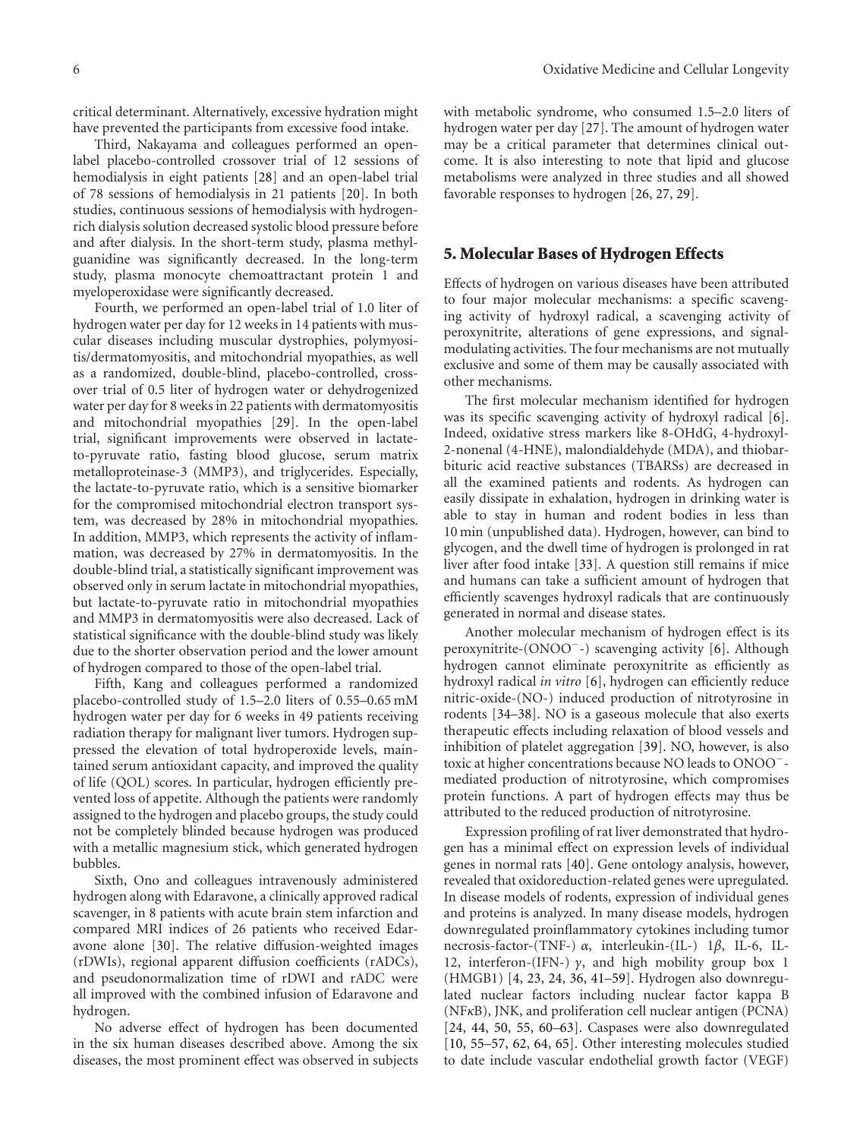critical determinant. Alternatively, excessive hydration might have prevented the participants from excessive food intake.

Third, Nakayama and colleagues performed an openlabel placebo-controlled crossover trial of 12 sessions of hemodialysis in eight patients [\[28](#page-10-25)] and an open-label trial of 78 sessions of hemodialysis in 21 patients [\[20](#page-10-24)]. In both studies, continuous sessions of hemodialysis with hydrogenrich dialysis solution decreased systolic blood pressure before and after dialysis. In the short-term study, plasma methylguanidine was significantly decreased. In the long-term study, plasma monocyte chemoattractant protein 1 and myeloperoxidase were significantly decreased.

Fourth, we performed an open-label trial of 1.0 liter of hydrogen water per day for 12 weeks in 14 patients with muscular diseases including muscular dystrophies, polymyositis/dermatomyositis, and mitochondrial myopathies, as well as a randomized, double-blind, placebo-controlled, crossover trial of 0.5 liter of hydrogen water or dehydrogenized water per day for 8 weeks in 22 patients with dermatomyositis and mitochondrial myopathies [\[29\]](#page-11-22). In the open-label trial, significant improvements were observed in lactateto-pyruvate ratio, fasting blood glucose, serum matrix metalloproteinase-3 (MMP3), and triglycerides. Especially, the lactate-to-pyruvate ratio, which is a sensitive biomarker for the compromised mitochondrial electron transport system, was decreased by 28% in mitochondrial myopathies. In addition, MMP3, which represents the activity of inflammation, was decreased by 27% in dermatomyositis. In the double-blind trial, a statistically significant improvement was observed only in serum lactate in mitochondrial myopathies, but lactate-to-pyruvate ratio in mitochondrial myopathies and MMP3 in dermatomyositis were also decreased. Lack of statistical significance with the double-blind study was likely due to the shorter observation period and the lower amount of hydrogen compared to those of the open-label trial.

Fifth, Kang and colleagues performed a randomized placebo-controlled study of 1.5–2.0 liters of 0.55–0.65 mM hydrogen water per day for 6 weeks in 49 patients receiving radiation therapy for malignant liver tumors. Hydrogen suppressed the elevation of total hydroperoxide levels, maintained serum antioxidant capacity, and improved the quality of life (QOL) scores. In particular, hydrogen efficiently prevented loss of appetite. Although the patients were randomly assigned to the hydrogen and placebo groups, the study could not be completely blinded because hydrogen was produced with a metallic magnesium stick, which generated hydrogen bubbles.

Sixth, Ono and colleagues intravenously administered hydrogen along with Edaravone, a clinically approved radical scavenger, in 8 patients with acute brain stem infarction and compared MRI indices of 26 patients who received Edaravone alone [\[30](#page-11-0)]. The relative diffusion-weighted images (rDWIs), regional apparent diffusion coefficients (rADCs), and pseudonormalization time of rDWI and rADC were all improved with the combined infusion of Edaravone and hydrogen.

No adverse effect of hydrogen has been documented in the six human diseases described above. Among the six diseases, the most prominent effect was observed in subjects

with metabolic syndrome, who consumed 1.5–2.0 liters of hydrogen water per day [\[27](#page-10-27)]. The amount of hydrogen water may be a critical parameter that determines clinical outcome. It is also interesting to note that lipid and glucose metabolisms were analyzed in three studies and all showed favorable responses to hydrogen [\[26,](#page-10-26) [27,](#page-10-27) [29](#page-11-22)].

### **5. Molecular Bases of Hydrogen Effects**

Effects of hydrogen on various diseases have been attributed to four major molecular mechanisms: a specific scavenging activity of hydroxyl radical, a scavenging activity of peroxynitrite, alterations of gene expressions, and signalmodulating activities. The four mechanisms are not mutually exclusive and some of them may be causally associated with other mechanisms.

The first molecular mechanism identified for hydrogen was its specific scavenging activity of hydroxyl radical [\[6\]](#page-10-6). Indeed, oxidative stress markers like 8-OHdG, 4-hydroxyl-2-nonenal (4-HNE), malondialdehyde (MDA), and thiobarbituric acid reactive substances (TBARSs) are decreased in all the examined patients and rodents. As hydrogen can easily dissipate in exhalation, hydrogen in drinking water is able to stay in human and rodent bodies in less than 10 min (unpublished data). Hydrogen, however, can bind to glycogen, and the dwell time of hydrogen is prolonged in rat liver after food intake [\[33](#page-11-25)]. A question still remains if mice and humans can take a sufficient amount of hydrogen that efficiently scavenges hydroxyl radicals that are continuously generated in normal and disease states.

Another molecular mechanism of hydrogen effect is its peroxynitrite-(ONOO−-) scavenging activity [\[6\]](#page-10-6). Although hydrogen cannot eliminate peroxynitrite as efficiently as hydroxyl radical *in vitro* [\[6\]](#page-10-6), hydrogen can efficiently reduce nitric-oxide-(NO-) induced production of nitrotyrosine in rodents [\[34](#page-11-3)[–38\]](#page-11-23). NO is a gaseous molecule that also exerts therapeutic effects including relaxation of blood vessels and inhibition of platelet aggregation [\[39](#page-11-30)]. NO, however, is also toxic at higher concentrations because NO leads to ONOO− mediated production of nitrotyrosine, which compromises protein functions. A part of hydrogen effects may thus be attributed to the reduced production of nitrotyrosine.

Expression profiling of rat liver demonstrated that hydrogen has a minimal effect on expression levels of individual genes in normal rats [\[40\]](#page-11-31). Gene ontology analysis, however, revealed that oxidoreduction-related genes were upregulated. In disease models of rodents, expression of individual genes and proteins is analyzed. In many disease models, hydrogen downregulated proinflammatory cytokines including tumor necrosis-factor-(TNF-) *α*, interleukin-(IL-) 1*β*, IL-6, IL-12, interferon-(IFN-) *γ*, and high mobility group box 1 (HMGB1) [\[4](#page-10-4), [23](#page-10-20), [24](#page-10-21), [36,](#page-11-10) [41](#page-11-18)[–59](#page-11-20)]. Hydrogen also downregulated nuclear factors including nuclear factor kappa B (NF*κ*B), JNK, and proliferation cell nuclear antigen (PCNA) [\[24,](#page-10-21) [44,](#page-11-9) [50](#page-11-28), [55,](#page-11-1) [60](#page-11-8)[–63](#page-12-20)]. Caspases were also downregulated [\[10,](#page-10-10) [55](#page-11-1)[–57](#page-11-5), [62](#page-12-18), [64](#page-12-21), [65\]](#page-12-16). Other interesting molecules studied to date include vascular endothelial growth factor (VEGF)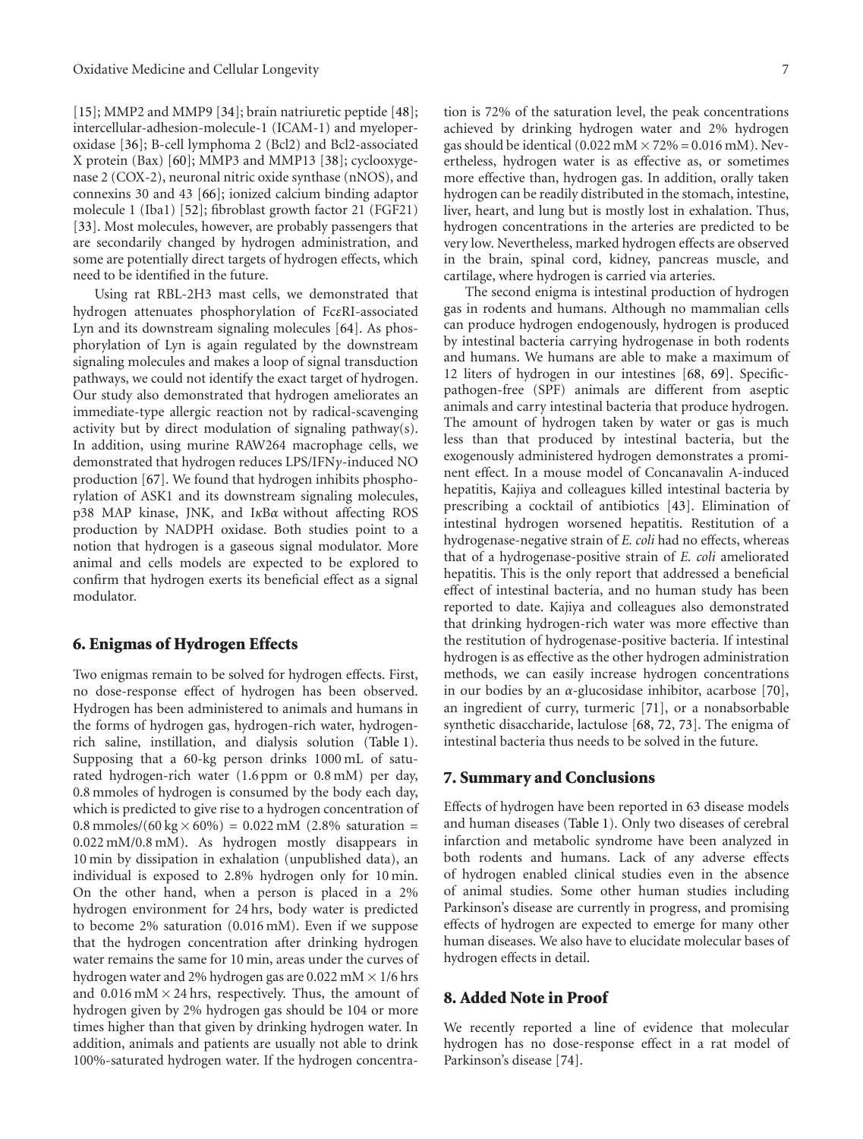[\[15\]](#page-10-15); MMP2 and MMP9 [\[34](#page-11-3)]; brain natriuretic peptide [\[48\]](#page-11-12); intercellular-adhesion-molecule-1 (ICAM-1) and myeloperoxidase [\[36](#page-11-10)]; B-cell lymphoma 2 (Bcl2) and Bcl2-associated X protein (Bax) [\[60\]](#page-11-8); MMP3 and MMP13 [\[38\]](#page-11-23); cyclooxygenase 2 (COX-2), neuronal nitric oxide synthase (nNOS), and connexins 30 and 43 [\[66](#page-12-2)]; ionized calcium binding adaptor molecule 1 (Iba1) [\[52](#page-11-4)]; fibroblast growth factor 21 (FGF21) [\[33\]](#page-11-25). Most molecules, however, are probably passengers that are secondarily changed by hydrogen administration, and some are potentially direct targets of hydrogen effects, which need to be identified in the future.

Using rat RBL-2H3 mast cells, we demonstrated that hydrogen attenuates phosphorylation of Fc*ε*RI-associated Lyn and its downstream signaling molecules [\[64](#page-12-21)]. As phosphorylation of Lyn is again regulated by the downstream signaling molecules and makes a loop of signal transduction pathways, we could not identify the exact target of hydrogen. Our study also demonstrated that hydrogen ameliorates an immediate-type allergic reaction not by radical-scavenging activity but by direct modulation of signaling pathway(s). In addition, using murine RAW264 macrophage cells, we demonstrated that hydrogen reduces LPS/IFN*γ*-induced NO production [\[67](#page-12-22)]. We found that hydrogen inhibits phosphorylation of ASK1 and its downstream signaling molecules, p38 MAP kinase, JNK, and I*κ*B*α* without affecting ROS production by NADPH oxidase. Both studies point to a notion that hydrogen is a gaseous signal modulator. More animal and cells models are expected to be explored to confirm that hydrogen exerts its beneficial effect as a signal modulator.

## **6. Enigmas of Hydrogen Effects**

Two enigmas remain to be solved for hydrogen effects. First, no dose-response effect of hydrogen has been observed. Hydrogen has been administered to animals and humans in the forms of hydrogen gas, hydrogen-rich water, hydrogenrich saline, instillation, and dialysis solution [\(Table 1\)](#page-5-0). Supposing that a 60-kg person drinks 1000 mL of saturated hydrogen-rich water (1.6 ppm or 0.8 mM) per day, 0.8 mmoles of hydrogen is consumed by the body each day, which is predicted to give rise to a hydrogen concentration of 0.8 mmoles/(60 kg  $\times$  60%) = 0.022 mM (2.8% saturation = 0.022 mM/0.8 mM). As hydrogen mostly disappears in 10 min by dissipation in exhalation (unpublished data), an individual is exposed to 2.8% hydrogen only for 10 min. On the other hand, when a person is placed in a 2% hydrogen environment for 24 hrs, body water is predicted to become 2% saturation (0.016 mM). Even if we suppose that the hydrogen concentration after drinking hydrogen water remains the same for 10 min, areas under the curves of hydrogen water and 2% hydrogen gas are 0.022 mM  $\times$  1/6 hrs and  $0.016$  mM  $\times$  24 hrs, respectively. Thus, the amount of hydrogen given by 2% hydrogen gas should be 104 or more times higher than that given by drinking hydrogen water. In addition, animals and patients are usually not able to drink 100%-saturated hydrogen water. If the hydrogen concentra-

tion is 72% of the saturation level, the peak concentrations achieved by drinking hydrogen water and 2% hydrogen gas should be identical  $(0.022 \text{ mM} \times 72\% = 0.016 \text{ mM})$ . Nevertheless, hydrogen water is as effective as, or sometimes more effective than, hydrogen gas. In addition, orally taken hydrogen can be readily distributed in the stomach, intestine, liver, heart, and lung but is mostly lost in exhalation. Thus, hydrogen concentrations in the arteries are predicted to be very low. Nevertheless, marked hydrogen effects are observed in the brain, spinal cord, kidney, pancreas muscle, and cartilage, where hydrogen is carried via arteries.

The second enigma is intestinal production of hydrogen gas in rodents and humans. Although no mammalian cells can produce hydrogen endogenously, hydrogen is produced by intestinal bacteria carrying hydrogenase in both rodents and humans. We humans are able to make a maximum of 12 liters of hydrogen in our intestines [\[68,](#page-12-23) [69](#page-12-24)]. Specificpathogen-free (SPF) animals are different from aseptic animals and carry intestinal bacteria that produce hydrogen. The amount of hydrogen taken by water or gas is much less than that produced by intestinal bacteria, but the exogenously administered hydrogen demonstrates a prominent effect. In a mouse model of Concanavalin A-induced hepatitis, Kajiya and colleagues killed intestinal bacteria by prescribing a cocktail of antibiotics [\[43\]](#page-11-13). Elimination of intestinal hydrogen worsened hepatitis. Restitution of a hydrogenase-negative strain of *E. coli* had no effects, whereas that of a hydrogenase-positive strain of *E. coli* ameliorated hepatitis. This is the only report that addressed a beneficial effect of intestinal bacteria, and no human study has been reported to date. Kajiya and colleagues also demonstrated that drinking hydrogen-rich water was more effective than the restitution of hydrogenase-positive bacteria. If intestinal hydrogen is as effective as the other hydrogen administration methods, we can easily increase hydrogen concentrations in our bodies by an *α*-glucosidase inhibitor, acarbose [\[70\]](#page-12-25), an ingredient of curry, turmeric [\[71\]](#page-12-26), or a nonabsorbable synthetic disaccharide, lactulose [\[68,](#page-12-23) [72](#page-12-27), [73\]](#page-12-28). The enigma of intestinal bacteria thus needs to be solved in the future.

#### **7. Summary and Conclusions**

Effects of hydrogen have been reported in 63 disease models and human diseases [\(Table 1\)](#page-5-0). Only two diseases of cerebral infarction and metabolic syndrome have been analyzed in both rodents and humans. Lack of any adverse effects of hydrogen enabled clinical studies even in the absence of animal studies. Some other human studies including Parkinson's disease are currently in progress, and promising effects of hydrogen are expected to emerge for many other human diseases. We also have to elucidate molecular bases of hydrogen effects in detail.

### **8. Added Note in Proof**

We recently reported a line of evidence that molecular hydrogen has no dose-response effect in a rat model of Parkinson's disease [\[74](#page-12-29)].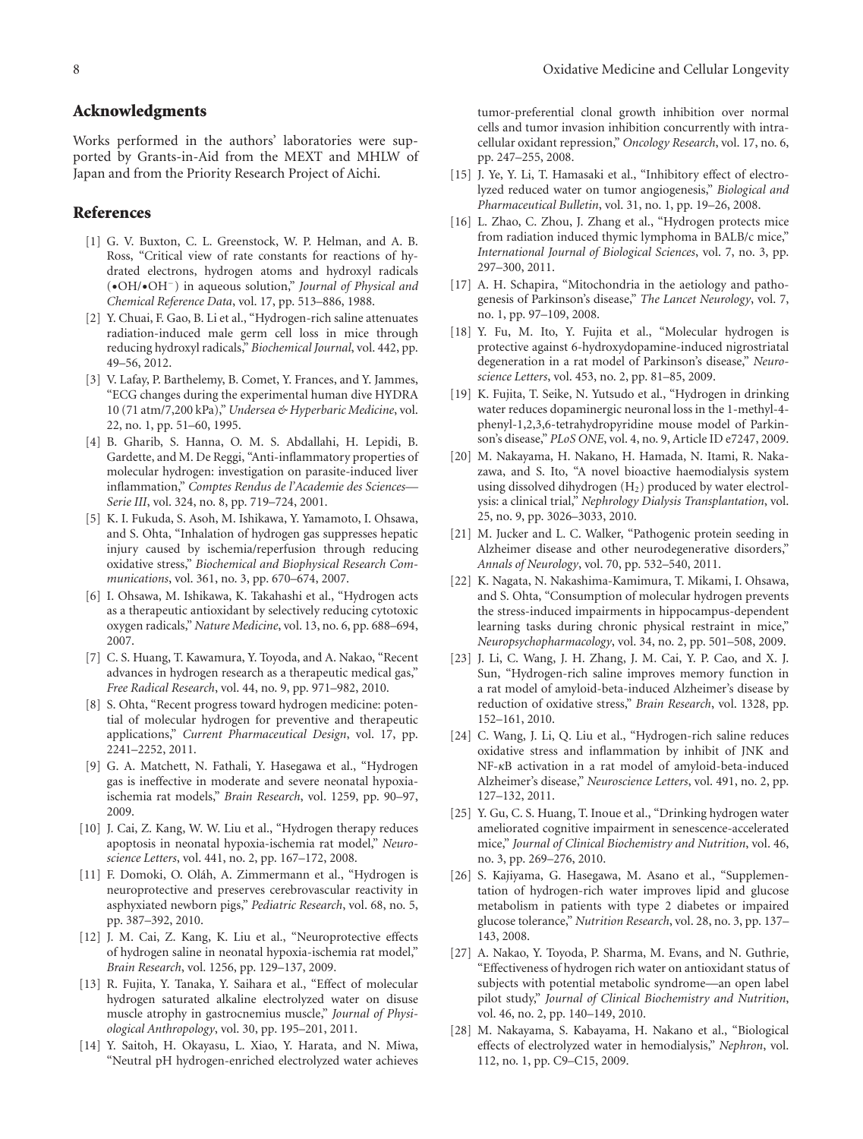#### **Acknowledgments**

Works performed in the authors' laboratories were supported by Grants-in-Aid from the MEXT and MHLW of Japan and from the Priority Research Project of Aichi.

## <span id="page-10-0"></span>**References**

- <span id="page-10-1"></span>[1] G. V. Buxton, C. L. Greenstock, W. P. Helman, and A. B. Ross, "Critical view of rate constants for reactions of hydrated electrons, hydrogen atoms and hydroxyl radicals (•OH/•OH−) in aqueous solution," *Journal of Physical and Chemical Reference Data*, vol. 17, pp. 513–886, 1988.
- <span id="page-10-2"></span>[2] Y. Chuai, F. Gao, B. Li et al., "Hydrogen-rich saline attenuates radiation-induced male germ cell loss in mice through reducing hydroxyl radicals," *Biochemical Journal*, vol. 442, pp. 49–56, 2012.
- <span id="page-10-3"></span>[3] V. Lafay, P. Barthelemy, B. Comet, Y. Frances, and Y. Jammes, "ECG changes during the experimental human dive HYDRA 10 (71 atm/7,200 kPa)," *Undersea & Hyperbaric Medicine*, vol. 22, no. 1, pp. 51–60, 1995.
- <span id="page-10-4"></span>[4] B. Gharib, S. Hanna, O. M. S. Abdallahi, H. Lepidi, B. Gardette, and M. De Reggi, "Anti-inflammatory properties of molecular hydrogen: investigation on parasite-induced liver inflammation," *Comptes Rendus de l'Academie des Sciences— Serie III*, vol. 324, no. 8, pp. 719–724, 2001.
- <span id="page-10-5"></span>[5] K. I. Fukuda, S. Asoh, M. Ishikawa, Y. Yamamoto, I. Ohsawa, and S. Ohta, "Inhalation of hydrogen gas suppresses hepatic injury caused by ischemia/reperfusion through reducing oxidative stress," *Biochemical and Biophysical Research Communications*, vol. 361, no. 3, pp. 670–674, 2007.
- <span id="page-10-6"></span>[6] I. Ohsawa, M. Ishikawa, K. Takahashi et al., "Hydrogen acts as a therapeutic antioxidant by selectively reducing cytotoxic oxygen radicals," *Nature Medicine*, vol. 13, no. 6, pp. 688–694, 2007.
- <span id="page-10-7"></span>[7] C. S. Huang, T. Kawamura, Y. Toyoda, and A. Nakao, "Recent advances in hydrogen research as a therapeutic medical gas," *Free Radical Research*, vol. 44, no. 9, pp. 971–982, 2010.
- <span id="page-10-8"></span>[8] S. Ohta, "Recent progress toward hydrogen medicine: potential of molecular hydrogen for preventive and therapeutic applications," *Current Pharmaceutical Design*, vol. 17, pp. 2241–2252, 2011.
- <span id="page-10-9"></span>[9] G. A. Matchett, N. Fathali, Y. Hasegawa et al., "Hydrogen gas is ineffective in moderate and severe neonatal hypoxiaischemia rat models," *Brain Research*, vol. 1259, pp. 90–97, 2009.
- <span id="page-10-10"></span>[10] J. Cai, Z. Kang, W. W. Liu et al., "Hydrogen therapy reduces apoptosis in neonatal hypoxia-ischemia rat model," *Neuroscience Letters*, vol. 441, no. 2, pp. 167–172, 2008.
- <span id="page-10-11"></span>[11] F. Domoki, O. Oláh, A. Zimmermann et al., "Hydrogen is neuroprotective and preserves cerebrovascular reactivity in asphyxiated newborn pigs," *Pediatric Research*, vol. 68, no. 5, pp. 387–392, 2010.
- <span id="page-10-12"></span>[12] J. M. Cai, Z. Kang, K. Liu et al., "Neuroprotective effects of hydrogen saline in neonatal hypoxia-ischemia rat model," *Brain Research*, vol. 1256, pp. 129–137, 2009.
- <span id="page-10-13"></span>[13] R. Fujita, Y. Tanaka, Y. Saihara et al., "Effect of molecular hydrogen saturated alkaline electrolyzed water on disuse muscle atrophy in gastrocnemius muscle," *Journal of Physiological Anthropology*, vol. 30, pp. 195–201, 2011.
- <span id="page-10-14"></span>[14] Y. Saitoh, H. Okayasu, L. Xiao, Y. Harata, and N. Miwa, "Neutral pH hydrogen-enriched electrolyzed water achieves

tumor-preferential clonal growth inhibition over normal cells and tumor invasion inhibition concurrently with intracellular oxidant repression," *Oncology Research*, vol. 17, no. 6, pp. 247–255, 2008.

- <span id="page-10-15"></span>[15] J. Ye, Y. Li, T. Hamasaki et al., "Inhibitory effect of electrolyzed reduced water on tumor angiogenesis," *Biological and Pharmaceutical Bulletin*, vol. 31, no. 1, pp. 19–26, 2008.
- <span id="page-10-16"></span>[16] L. Zhao, C. Zhou, J. Zhang et al., "Hydrogen protects mice from radiation induced thymic lymphoma in BALB/c mice," *International Journal of Biological Sciences*, vol. 7, no. 3, pp. 297–300, 2011.
- <span id="page-10-17"></span>[17] A. H. Schapira, "Mitochondria in the aetiology and pathogenesis of Parkinson's disease," *The Lancet Neurology*, vol. 7, no. 1, pp. 97–109, 2008.
- <span id="page-10-18"></span>[18] Y. Fu, M. Ito, Y. Fujita et al., "Molecular hydrogen is protective against 6-hydroxydopamine-induced nigrostriatal degeneration in a rat model of Parkinson's disease," *Neuroscience Letters*, vol. 453, no. 2, pp. 81–85, 2009.
- <span id="page-10-23"></span>[19] K. Fujita, T. Seike, N. Yutsudo et al., "Hydrogen in drinking water reduces dopaminergic neuronal loss in the 1-methyl-4 phenyl-1,2,3,6-tetrahydropyridine mouse model of Parkinson's disease," *PLoS ONE*, vol. 4, no. 9, Article ID e7247, 2009.
- <span id="page-10-24"></span>[20] M. Nakayama, H. Nakano, H. Hamada, N. Itami, R. Nakazawa, and S. Ito, "A novel bioactive haemodialysis system using dissolved dihydrogen  $(H<sub>2</sub>)$  produced by water electrolysis: a clinical trial," *Nephrology Dialysis Transplantation*, vol. 25, no. 9, pp. 3026–3033, 2010.
- <span id="page-10-28"></span>[21] M. Jucker and L. C. Walker, "Pathogenic protein seeding in Alzheimer disease and other neurodegenerative disorders," *Annals of Neurology*, vol. 70, pp. 532–540, 2011.
- <span id="page-10-19"></span>[22] K. Nagata, N. Nakashima-Kamimura, T. Mikami, I. Ohsawa, and S. Ohta, "Consumption of molecular hydrogen prevents the stress-induced impairments in hippocampus-dependent learning tasks during chronic physical restraint in mice," *Neuropsychopharmacology*, vol. 34, no. 2, pp. 501–508, 2009.
- <span id="page-10-20"></span>[23] J. Li, C. Wang, J. H. Zhang, J. M. Cai, Y. P. Cao, and X. J. Sun, "Hydrogen-rich saline improves memory function in a rat model of amyloid-beta-induced Alzheimer's disease by reduction of oxidative stress," *Brain Research*, vol. 1328, pp. 152–161, 2010.
- <span id="page-10-21"></span>[24] C. Wang, J. Li, Q. Liu et al., "Hydrogen-rich saline reduces oxidative stress and inflammation by inhibit of JNK and NF-*κ*B activation in a rat model of amyloid-beta-induced Alzheimer's disease," *Neuroscience Letters*, vol. 491, no. 2, pp. 127–132, 2011.
- <span id="page-10-22"></span>[25] Y. Gu, C. S. Huang, T. Inoue et al., "Drinking hydrogen water ameliorated cognitive impairment in senescence-accelerated mice," *Journal of Clinical Biochemistry and Nutrition*, vol. 46, no. 3, pp. 269–276, 2010.
- <span id="page-10-26"></span>[26] S. Kajiyama, G. Hasegawa, M. Asano et al., "Supplementation of hydrogen-rich water improves lipid and glucose metabolism in patients with type 2 diabetes or impaired glucose tolerance," *Nutrition Research*, vol. 28, no. 3, pp. 137– 143, 2008.
- <span id="page-10-27"></span>[27] A. Nakao, Y. Toyoda, P. Sharma, M. Evans, and N. Guthrie, "Effectiveness of hydrogen rich water on antioxidant status of subjects with potential metabolic syndrome—an open label pilot study," *Journal of Clinical Biochemistry and Nutrition*, vol. 46, no. 2, pp. 140–149, 2010.
- <span id="page-10-25"></span>[28] M. Nakayama, S. Kabayama, H. Nakano et al., "Biological effects of electrolyzed water in hemodialysis," *Nephron*, vol. 112, no. 1, pp. C9–C15, 2009.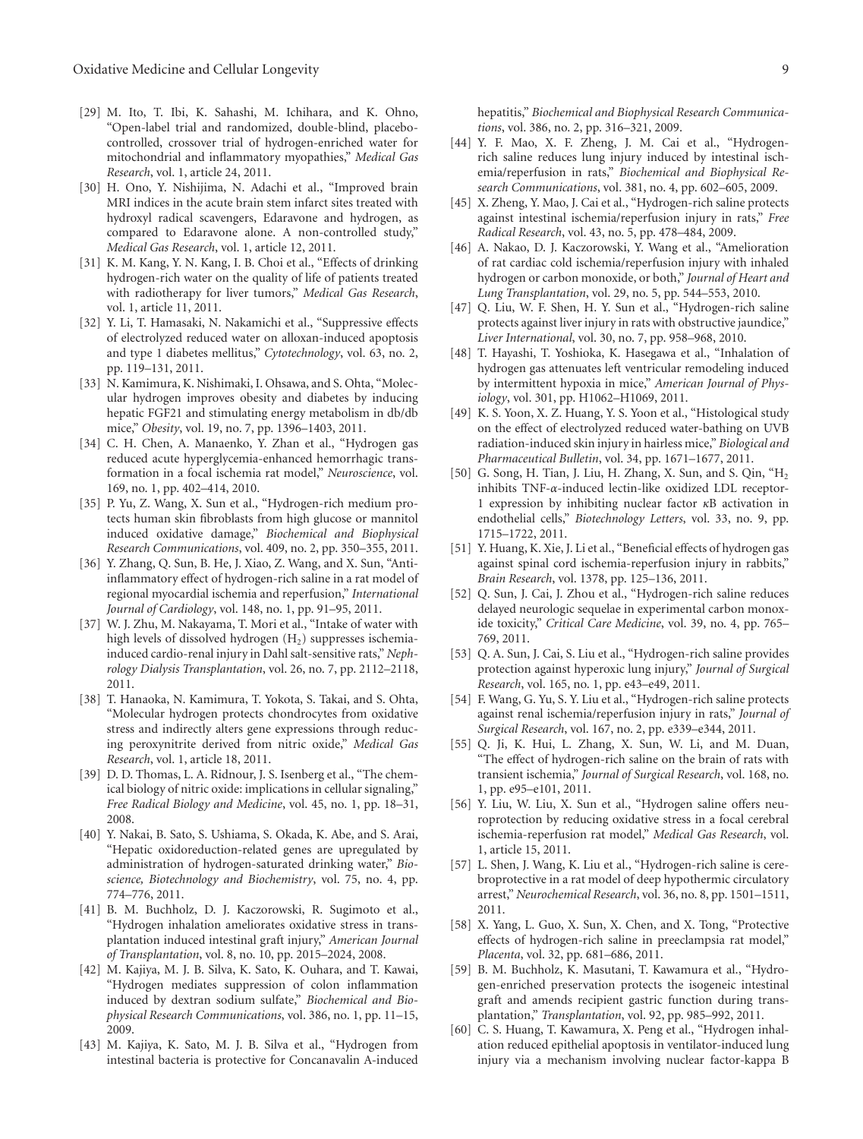- <span id="page-11-22"></span>[29] M. Ito, T. Ibi, K. Sahashi, M. Ichihara, and K. Ohno, "Open-label trial and randomized, double-blind, placebocontrolled, crossover trial of hydrogen-enriched water for mitochondrial and inflammatory myopathies," *Medical Gas Research*, vol. 1, article 24, 2011.
- <span id="page-11-0"></span>[30] H. Ono, Y. Nishijima, N. Adachi et al., "Improved brain MRI indices in the acute brain stem infarct sites treated with hydroxyl radical scavengers, Edaravone and hydrogen, as compared to Edaravone alone. A non-controlled study," *Medical Gas Research*, vol. 1, article 12, 2011.
- <span id="page-11-15"></span>[31] K. M. Kang, Y. N. Kang, I. B. Choi et al., "Effects of drinking hydrogen-rich water on the quality of life of patients treated with radiotherapy for liver tumors," *Medical Gas Research*, vol. 1, article 11, 2011.
- <span id="page-11-24"></span>[32] Y. Li, T. Hamasaki, N. Nakamichi et al., "Suppressive effects of electrolyzed reduced water on alloxan-induced apoptosis and type 1 diabetes mellitus," *Cytotechnology*, vol. 63, no. 2, pp. 119–131, 2011.
- <span id="page-11-25"></span>[33] N. Kamimura, K. Nishimaki, I. Ohsawa, and S. Ohta, "Molecular hydrogen improves obesity and diabetes by inducing hepatic FGF21 and stimulating energy metabolism in db/db mice," *Obesity*, vol. 19, no. 7, pp. 1396–1403, 2011.
- <span id="page-11-3"></span>[34] C. H. Chen, A. Manaenko, Y. Zhan et al., "Hydrogen gas reduced acute hyperglycemia-enhanced hemorrhagic transformation in a focal ischemia rat model," *Neuroscience*, vol. 169, no. 1, pp. 402–414, 2010.
- <span id="page-11-29"></span>[35] P. Yu, Z. Wang, X. Sun et al., "Hydrogen-rich medium protects human skin fibroblasts from high glucose or mannitol induced oxidative damage," *Biochemical and Biophysical Research Communications*, vol. 409, no. 2, pp. 350–355, 2011.
- <span id="page-11-10"></span>[36] Y. Zhang, Q. Sun, B. He, J. Xiao, Z. Wang, and X. Sun, "Antiinflammatory effect of hydrogen-rich saline in a rat model of regional myocardial ischemia and reperfusion," *International Journal of Cardiology*, vol. 148, no. 1, pp. 91–95, 2011.
- <span id="page-11-17"></span>[37] W. J. Zhu, M. Nakayama, T. Mori et al., "Intake of water with high levels of dissolved hydrogen  $(H<sub>2</sub>)$  suppresses ischemiainduced cardio-renal injury in Dahl salt-sensitive rats," *Nephrology Dialysis Transplantation*, vol. 26, no. 7, pp. 2112–2118, 2011.
- <span id="page-11-23"></span>[38] T. Hanaoka, N. Kamimura, T. Yokota, S. Takai, and S. Ohta, "Molecular hydrogen protects chondrocytes from oxidative stress and indirectly alters gene expressions through reducing peroxynitrite derived from nitric oxide," *Medical Gas Research*, vol. 1, article 18, 2011.
- <span id="page-11-30"></span>[39] D. D. Thomas, L. A. Ridnour, J. S. Isenberg et al., "The chemical biology of nitric oxide: implications in cellular signaling," *Free Radical Biology and Medicine*, vol. 45, no. 1, pp. 18–31, 2008.
- <span id="page-11-31"></span>[40] Y. Nakai, B. Sato, S. Ushiama, S. Okada, K. Abe, and S. Arai, "Hepatic oxidoreduction-related genes are upregulated by administration of hydrogen-saturated drinking water," *Bioscience, Biotechnology and Biochemistry*, vol. 75, no. 4, pp. 774–776, 2011.
- <span id="page-11-18"></span>[41] B. M. Buchholz, D. J. Kaczorowski, R. Sugimoto et al., "Hydrogen inhalation ameliorates oxidative stress in transplantation induced intestinal graft injury," *American Journal of Transplantation*, vol. 8, no. 10, pp. 2015–2024, 2008.
- <span id="page-11-21"></span>[42] M. Kajiya, M. J. B. Silva, K. Sato, K. Ouhara, and T. Kawai, "Hydrogen mediates suppression of colon inflammation induced by dextran sodium sulfate," *Biochemical and Biophysical Research Communications*, vol. 386, no. 1, pp. 11–15, 2009.
- <span id="page-11-13"></span>[43] M. Kajiya, K. Sato, M. J. B. Silva et al., "Hydrogen from intestinal bacteria is protective for Concanavalin A-induced

hepatitis," *Biochemical and Biophysical Research Communications*, vol. 386, no. 2, pp. 316–321, 2009.

- <span id="page-11-9"></span>[44] Y. F. Mao, X. F. Zheng, J. M. Cai et al., "Hydrogenrich saline reduces lung injury induced by intestinal ischemia/reperfusion in rats," *Biochemical and Biophysical Research Communications*, vol. 381, no. 4, pp. 602–605, 2009.
- <span id="page-11-19"></span>[45] X. Zheng, Y. Mao, J. Cai et al., "Hydrogen-rich saline protects against intestinal ischemia/reperfusion injury in rats," *Free Radical Research*, vol. 43, no. 5, pp. 478–484, 2009.
- <span id="page-11-11"></span>[46] A. Nakao, D. J. Kaczorowski, Y. Wang et al., "Amelioration of rat cardiac cold ischemia/reperfusion injury with inhaled hydrogen or carbon monoxide, or both," *Journal of Heart and Lung Transplantation*, vol. 29, no. 5, pp. 544–553, 2010.
- <span id="page-11-14"></span>[47] Q. Liu, W. F. Shen, H. Y. Sun et al., "Hydrogen-rich saline protects against liver injury in rats with obstructive jaundice," *Liver International*, vol. 30, no. 7, pp. 958–968, 2010.
- <span id="page-11-12"></span>[48] T. Hayashi, T. Yoshioka, K. Hasegawa et al., "Inhalation of hydrogen gas attenuates left ventricular remodeling induced by intermittent hypoxia in mice," *American Journal of Physiology*, vol. 301, pp. H1062–H1069, 2011.
- <span id="page-11-27"></span>[49] K. S. Yoon, X. Z. Huang, Y. S. Yoon et al., "Histological study on the effect of electrolyzed reduced water-bathing on UVB radiation-induced skin injury in hairless mice," *Biological and Pharmaceutical Bulletin*, vol. 34, pp. 1671–1677, 2011.
- <span id="page-11-28"></span>[50] G. Song, H. Tian, J. Liu, H. Zhang, X. Sun, and S. Qin, "H2 inhibits TNF-*α*-induced lectin-like oxidized LDL receptor-1 expression by inhibiting nuclear factor *κ*B activation in endothelial cells," *Biotechnology Letters*, vol. 33, no. 9, pp. 1715–1722, 2011.
- <span id="page-11-6"></span>[51] Y. Huang, K. Xie, J. Li et al., "Beneficial effects of hydrogen gas against spinal cord ischemia-reperfusion injury in rabbits," *Brain Research*, vol. 1378, pp. 125–136, 2011.
- <span id="page-11-4"></span>[52] Q. Sun, J. Cai, J. Zhou et al., "Hydrogen-rich saline reduces delayed neurologic sequelae in experimental carbon monoxide toxicity," *Critical Care Medicine*, vol. 39, no. 4, pp. 765– 769, 2011.
- <span id="page-11-7"></span>[53] Q. A. Sun, J. Cai, S. Liu et al., "Hydrogen-rich saline provides protection against hyperoxic lung injury," *Journal of Surgical Research*, vol. 165, no. 1, pp. e43–e49, 2011.
- <span id="page-11-16"></span>[54] F. Wang, G. Yu, S. Y. Liu et al., "Hydrogen-rich saline protects against renal ischemia/reperfusion injury in rats," *Journal of Surgical Research*, vol. 167, no. 2, pp. e339–e344, 2011.
- <span id="page-11-1"></span>[55] Q. Ji, K. Hui, L. Zhang, X. Sun, W. Li, and M. Duan, "The effect of hydrogen-rich saline on the brain of rats with transient ischemia," *Journal of Surgical Research*, vol. 168, no. 1, pp. e95–e101, 2011.
- <span id="page-11-2"></span>[56] Y. Liu, W. Liu, X. Sun et al., "Hydrogen saline offers neuroprotection by reducing oxidative stress in a focal cerebral ischemia-reperfusion rat model," *Medical Gas Research*, vol. 1, article 15, 2011.
- <span id="page-11-5"></span>[57] L. Shen, J. Wang, K. Liu et al., "Hydrogen-rich saline is cerebroprotective in a rat model of deep hypothermic circulatory arrest," *Neurochemical Research*, vol. 36, no. 8, pp. 1501–1511, 2011.
- <span id="page-11-26"></span>[58] X. Yang, L. Guo, X. Sun, X. Chen, and X. Tong, "Protective effects of hydrogen-rich saline in preeclampsia rat model," *Placenta*, vol. 32, pp. 681–686, 2011.
- <span id="page-11-20"></span>[59] B. M. Buchholz, K. Masutani, T. Kawamura et al., "Hydrogen-enriched preservation protects the isogeneic intestinal graft and amends recipient gastric function during transplantation," *Transplantation*, vol. 92, pp. 985–992, 2011.
- <span id="page-11-8"></span>[60] C. S. Huang, T. Kawamura, X. Peng et al., "Hydrogen inhalation reduced epithelial apoptosis in ventilator-induced lung injury via a mechanism involving nuclear factor-kappa B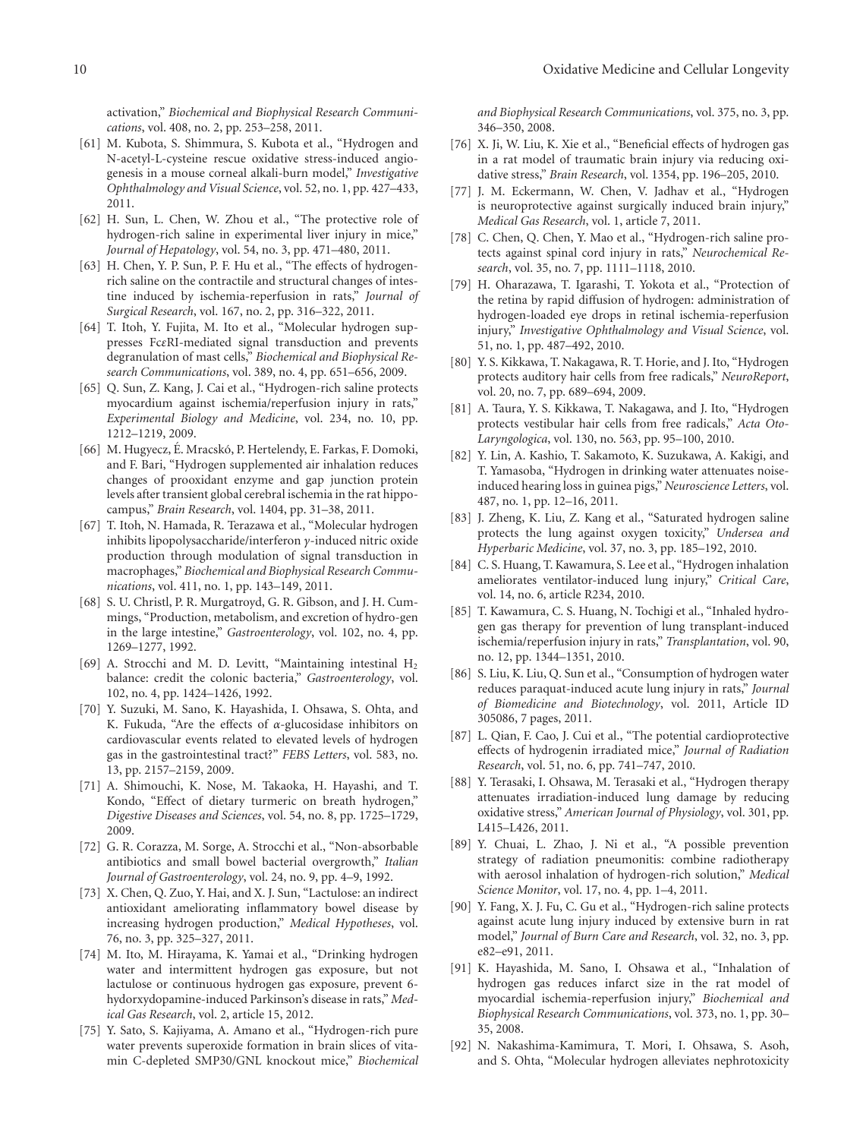activation," *Biochemical and Biophysical Research Communications*, vol. 408, no. 2, pp. 253–258, 2011.

- <span id="page-12-6"></span>[61] M. Kubota, S. Shimmura, S. Kubota et al., "Hydrogen and N-acetyl-L-cysteine rescue oxidative stress-induced angiogenesis in a mouse corneal alkali-burn model," *Investigative Ophthalmology and Visual Science*, vol. 52, no. 1, pp. 427–433, 2011.
- <span id="page-12-18"></span>[62] H. Sun, L. Chen, W. Zhou et al., "The protective role of hydrogen-rich saline in experimental liver injury in mice," *Journal of Hepatology*, vol. 54, no. 3, pp. 471–480, 2011.
- <span id="page-12-20"></span>[63] H. Chen, Y. P. Sun, P. F. Hu et al., "The effects of hydrogenrich saline on the contractile and structural changes of intestine induced by ischemia-reperfusion in rats," *Journal of Surgical Research*, vol. 167, no. 2, pp. 316–322, 2011.
- <span id="page-12-21"></span>[64] T. Itoh, Y. Fujita, M. Ito et al., "Molecular hydrogen suppresses Fc*ε*RI-mediated signal transduction and prevents degranulation of mast cells," *Biochemical and Biophysical Research Communications*, vol. 389, no. 4, pp. 651–656, 2009.
- <span id="page-12-16"></span>[65] Q. Sun, Z. Kang, J. Cai et al., "Hydrogen-rich saline protects myocardium against ischemia/reperfusion injury in rats," *Experimental Biology and Medicine*, vol. 234, no. 10, pp. 1212–1219, 2009.
- <span id="page-12-2"></span>[66] M. Hugyecz, É. Mracskó, P. Hertelendy, E. Farkas, F. Domoki, and F. Bari, "Hydrogen supplemented air inhalation reduces changes of prooxidant enzyme and gap junction protein levels after transient global cerebral ischemia in the rat hippocampus," *Brain Research*, vol. 1404, pp. 31–38, 2011.
- <span id="page-12-22"></span>[67] T. Itoh, N. Hamada, R. Terazawa et al., "Molecular hydrogen inhibits lipopolysaccharide/interferon *γ*-induced nitric oxide production through modulation of signal transduction in macrophages," *Biochemical and Biophysical Research Communications*, vol. 411, no. 1, pp. 143–149, 2011.
- <span id="page-12-23"></span>[68] S. U. Christl, P. R. Murgatroyd, G. R. Gibson, and J. H. Cummings, "Production, metabolism, and excretion of hydro-gen in the large intestine," *Gastroenterology*, vol. 102, no. 4, pp. 1269–1277, 1992.
- <span id="page-12-24"></span>[69] A. Strocchi and M. D. Levitt, "Maintaining intestinal H<sub>2</sub> balance: credit the colonic bacteria," *Gastroenterology*, vol. 102, no. 4, pp. 1424–1426, 1992.
- <span id="page-12-25"></span>[70] Y. Suzuki, M. Sano, K. Hayashida, I. Ohsawa, S. Ohta, and K. Fukuda, "Are the effects of *α*-glucosidase inhibitors on cardiovascular events related to elevated levels of hydrogen gas in the gastrointestinal tract?" *FEBS Letters*, vol. 583, no. 13, pp. 2157–2159, 2009.
- <span id="page-12-26"></span>[71] A. Shimouchi, K. Nose, M. Takaoka, H. Hayashi, and T. Kondo, "Effect of dietary turmeric on breath hydrogen," *Digestive Diseases and Sciences*, vol. 54, no. 8, pp. 1725–1729, 2009.
- <span id="page-12-27"></span>[72] G. R. Corazza, M. Sorge, A. Strocchi et al., "Non-absorbable antibiotics and small bowel bacterial overgrowth," *Italian Journal of Gastroenterology*, vol. 24, no. 9, pp. 4–9, 1992.
- <span id="page-12-28"></span>[73] X. Chen, Q. Zuo, Y. Hai, and X. J. Sun, "Lactulose: an indirect antioxidant ameliorating inflammatory bowel disease by increasing hydrogen production," *Medical Hypotheses*, vol. 76, no. 3, pp. 325–327, 2011.
- <span id="page-12-29"></span>[74] M. Ito, M. Hirayama, K. Yamai et al., "Drinking hydrogen water and intermittent hydrogen gas exposure, but not lactulose or continuous hydrogen gas exposure, prevent 6 hydorxydopamine-induced Parkinson's disease in rats," *Medical Gas Research*, vol. 2, article 15, 2012.
- <span id="page-12-0"></span>[75] Y. Sato, S. Kajiyama, A. Amano et al., "Hydrogen-rich pure water prevents superoxide formation in brain slices of vitamin C-depleted SMP30/GNL knockout mice," *Biochemical*

*and Biophysical Research Communications*, vol. 375, no. 3, pp. 346–350, 2008.

- <span id="page-12-1"></span>[76] X. Ji, W. Liu, K. Xie et al., "Beneficial effects of hydrogen gas in a rat model of traumatic brain injury via reducing oxidative stress," *Brain Research*, vol. 1354, pp. 196–205, 2010.
- <span id="page-12-3"></span>[77] J. M. Eckermann, W. Chen, V. Jadhav et al., "Hydrogen is neuroprotective against surgically induced brain injury," *Medical Gas Research*, vol. 1, article 7, 2011.
- <span id="page-12-4"></span>[78] C. Chen, Q. Chen, Y. Mao et al., "Hydrogen-rich saline protects against spinal cord injury in rats," *Neurochemical Research*, vol. 35, no. 7, pp. 1111–1118, 2010.
- <span id="page-12-5"></span>[79] H. Oharazawa, T. Igarashi, T. Yokota et al., "Protection of the retina by rapid diffusion of hydrogen: administration of hydrogen-loaded eye drops in retinal ischemia-reperfusion injury," *Investigative Ophthalmology and Visual Science*, vol. 51, no. 1, pp. 487–492, 2010.
- <span id="page-12-7"></span>[80] Y. S. Kikkawa, T. Nakagawa, R. T. Horie, and J. Ito, "Hydrogen protects auditory hair cells from free radicals," *NeuroReport*, vol. 20, no. 7, pp. 689–694, 2009.
- [81] A. Taura, Y. S. Kikkawa, T. Nakagawa, and J. Ito, "Hydrogen protects vestibular hair cells from free radicals," *Acta Oto-Laryngologica*, vol. 130, no. 563, pp. 95–100, 2010.
- <span id="page-12-8"></span>[82] Y. Lin, A. Kashio, T. Sakamoto, K. Suzukawa, A. Kakigi, and T. Yamasoba, "Hydrogen in drinking water attenuates noiseinduced hearing loss in guinea pigs," *Neuroscience Letters*, vol. 487, no. 1, pp. 12–16, 2011.
- <span id="page-12-9"></span>[83] J. Zheng, K. Liu, Z. Kang et al., "Saturated hydrogen saline protects the lung against oxygen toxicity," *Undersea and Hyperbaric Medicine*, vol. 37, no. 3, pp. 185–192, 2010.
- <span id="page-12-10"></span>[84] C. S. Huang, T. Kawamura, S. Lee et al., "Hydrogen inhalation ameliorates ventilator-induced lung injury," *Critical Care*, vol. 14, no. 6, article R234, 2010.
- <span id="page-12-11"></span>[85] T. Kawamura, C. S. Huang, N. Tochigi et al., "Inhaled hydrogen gas therapy for prevention of lung transplant-induced ischemia/reperfusion injury in rats," *Transplantation*, vol. 90, no. 12, pp. 1344–1351, 2010.
- <span id="page-12-12"></span>[86] S. Liu, K. Liu, Q. Sun et al., "Consumption of hydrogen water reduces paraquat-induced acute lung injury in rats," *Journal of Biomedicine and Biotechnology*, vol. 2011, Article ID 305086, 7 pages, 2011.
- <span id="page-12-13"></span>[87] L. Qian, F. Cao, J. Cui et al., "The potential cardioprotective effects of hydrogenin irradiated mice," *Journal of Radiation Research*, vol. 51, no. 6, pp. 741–747, 2010.
- [88] Y. Terasaki, I. Ohsawa, M. Terasaki et al., "Hydrogen therapy attenuates irradiation-induced lung damage by reducing oxidative stress," *American Journal of Physiology*, vol. 301, pp. L415–L426, 2011.
- <span id="page-12-14"></span>[89] Y. Chuai, L. Zhao, J. Ni et al., "A possible prevention strategy of radiation pneumonitis: combine radiotherapy with aerosol inhalation of hydrogen-rich solution," *Medical Science Monitor*, vol. 17, no. 4, pp. 1–4, 2011.
- <span id="page-12-15"></span>[90] Y. Fang, X. J. Fu, C. Gu et al., "Hydrogen-rich saline protects against acute lung injury induced by extensive burn in rat model," *Journal of Burn Care and Research*, vol. 32, no. 3, pp. e82–e91, 2011.
- <span id="page-12-17"></span>[91] K. Hayashida, M. Sano, I. Ohsawa et al., "Inhalation of hydrogen gas reduces infarct size in the rat model of myocardial ischemia-reperfusion injury," *Biochemical and Biophysical Research Communications*, vol. 373, no. 1, pp. 30– 35, 2008.
- <span id="page-12-19"></span>[92] N. Nakashima-Kamimura, T. Mori, I. Ohsawa, S. Asoh, and S. Ohta, "Molecular hydrogen alleviates nephrotoxicity